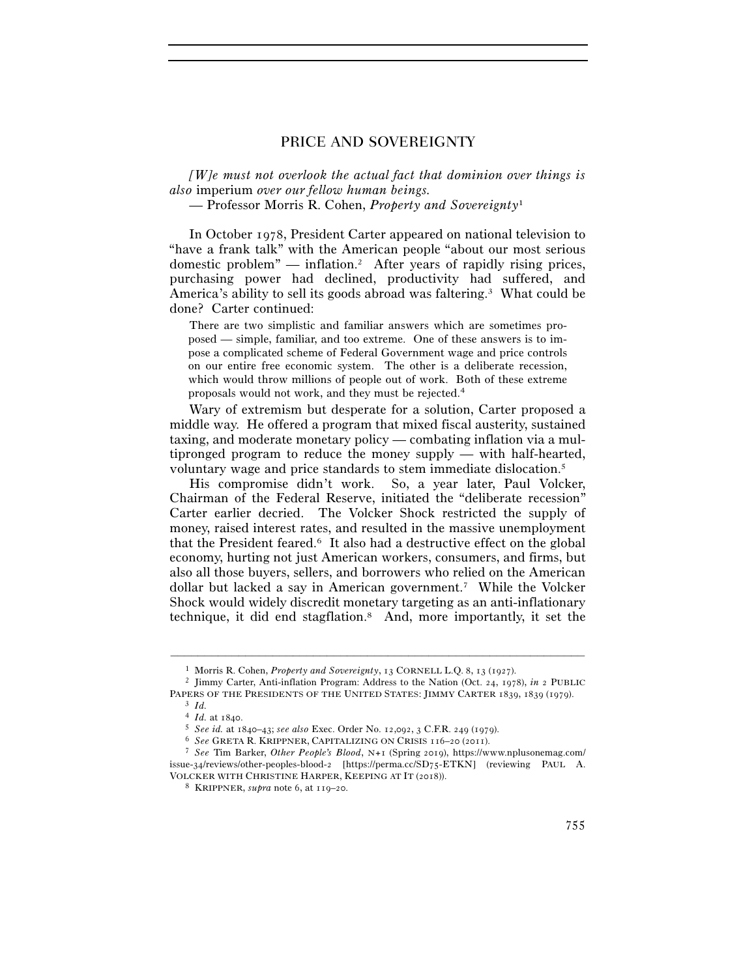*[W]e must not overlook the actual fact that dominion over things is also* imperium *over our fellow human beings.* 

— Professor Morris R. Cohen, *Property and Sovereignty*<sup>1</sup>

In October 1978, President Carter appeared on national television to "have a frank talk" with the American people "about our most serious domestic problem" — inflation.2 After years of rapidly rising prices, purchasing power had declined, productivity had suffered, and America's ability to sell its goods abroad was faltering.3 What could be done? Carter continued:

 There are two simplistic and familiar answers which are sometimes proposed — simple, familiar, and too extreme. One of these answers is to impose a complicated scheme of Federal Government wage and price controls on our entire free economic system. The other is a deliberate recession, which would throw millions of people out of work. Both of these extreme proposals would not work, and they must be rejected.4

Wary of extremism but desperate for a solution, Carter proposed a middle way. He offered a program that mixed fiscal austerity, sustained taxing, and moderate monetary policy — combating inflation via a multipronged program to reduce the money supply — with half-hearted, voluntary wage and price standards to stem immediate dislocation.5

His compromise didn't work. So, a year later, Paul Volcker, Chairman of the Federal Reserve, initiated the "deliberate recession" Carter earlier decried. The Volcker Shock restricted the supply of money, raised interest rates, and resulted in the massive unemployment that the President feared.6 It also had a destructive effect on the global economy, hurting not just American workers, consumers, and firms, but also all those buyers, sellers, and borrowers who relied on the American dollar but lacked a say in American government.7 While the Volcker Shock would widely discredit monetary targeting as an anti-inflationary technique, it did end stagflation.8 And, more importantly, it set the

<sup>1</sup> Morris R. Cohen, *Property and Sovereignty*, 13 CORNELL L.Q. <sup>8</sup>, 13 (<sup>1927</sup>). 2 Jimmy Carter, Anti-inflation Program: Address to the Nation (Oct. 24, 1978), *in* <sup>2</sup> PUBLIC

PAPERS OF THE PRESIDENTS OF THE UNITED STATES: JIMMY CARTER 1839, 1839 (1979).<br>
<sup>3</sup> Id.<br>
<sup>4</sup> Id. at 1840.<br>
<sup>5</sup> See id. at 1840–43; see also Exec. Order No. 12,092, 3 C.F.R. 249 (1979).<br>
<sup>6</sup> See GRETA R. KRIPPNER, CAPITALIZ issue-34/reviews/other-peoples-blood-2 [https://perma.cc/SD75-ETKN] (reviewing PAUL A. VOLCKER WITH CHRISTINE HARPER, KEEPING AT IT (<sup>2018</sup>)). 8 KRIPPNER, *supra* note 6, at 119–20.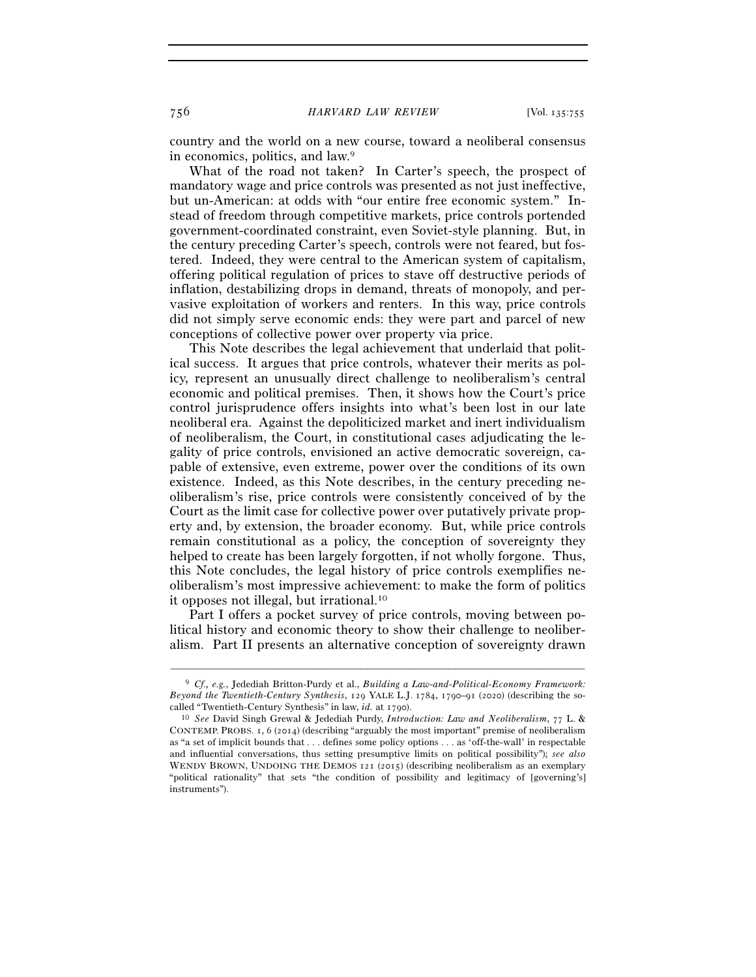country and the world on a new course, toward a neoliberal consensus in economics, politics, and law.9

What of the road not taken? In Carter's speech, the prospect of mandatory wage and price controls was presented as not just ineffective, but un-American: at odds with "our entire free economic system." Instead of freedom through competitive markets, price controls portended government-coordinated constraint, even Soviet-style planning. But, in the century preceding Carter's speech, controls were not feared, but fostered. Indeed, they were central to the American system of capitalism, offering political regulation of prices to stave off destructive periods of inflation, destabilizing drops in demand, threats of monopoly, and pervasive exploitation of workers and renters. In this way, price controls did not simply serve economic ends: they were part and parcel of new conceptions of collective power over property via price.

This Note describes the legal achievement that underlaid that political success. It argues that price controls, whatever their merits as policy, represent an unusually direct challenge to neoliberalism's central economic and political premises. Then, it shows how the Court's price control jurisprudence offers insights into what's been lost in our late neoliberal era. Against the depoliticized market and inert individualism of neoliberalism, the Court, in constitutional cases adjudicating the legality of price controls, envisioned an active democratic sovereign, capable of extensive, even extreme, power over the conditions of its own existence. Indeed, as this Note describes, in the century preceding neoliberalism's rise, price controls were consistently conceived of by the Court as the limit case for collective power over putatively private property and, by extension, the broader economy. But, while price controls remain constitutional as a policy, the conception of sovereignty they helped to create has been largely forgotten, if not wholly forgone. Thus, this Note concludes, the legal history of price controls exemplifies neoliberalism's most impressive achievement: to make the form of politics it opposes not illegal, but irrational.10

Part I offers a pocket survey of price controls, moving between political history and economic theory to show their challenge to neoliberalism. Part II presents an alternative conception of sovereignty drawn

<sup>9</sup> *Cf., e.g.*, Jedediah Britton-Purdy et al., *Building a Law-and-Political-Economy Framework: Beyond the Twentieth-Century Synthesis*, 129 YALE L.J. 1784, 1790–91 (2020) (describing the socalled "Twentieth-Century Synthesis" in law, *id.* at <sup>1790</sup>). 10 *See* David Singh Grewal & Jedediah Purdy, *Introduction: Law and Neoliberalism*, 77 L. &

CONTEMP. PROBS. 1, 6 (2014) (describing "arguably the most important" premise of neoliberalism as "a set of implicit bounds that . . . defines some policy options . . . as 'off-the-wall' in respectable and influential conversations, thus setting presumptive limits on political possibility"); *see also* WENDY BROWN, UNDOING THE DEMOS 121 (2015) (describing neoliberalism as an exemplary "political rationality" that sets "the condition of possibility and legitimacy of [governing's] instruments").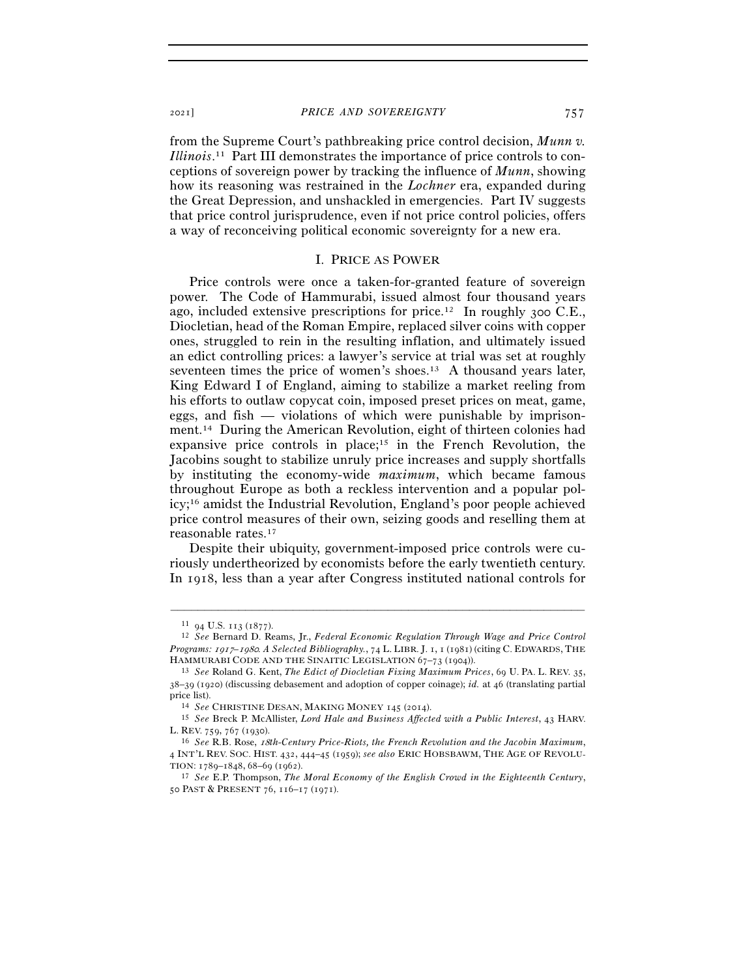from the Supreme Court's pathbreaking price control decision, *Munn v. Illinois*. 11 Part III demonstrates the importance of price controls to conceptions of sovereign power by tracking the influence of *Munn*, showing how its reasoning was restrained in the *Lochner* era, expanded during the Great Depression, and unshackled in emergencies. Part IV suggests that price control jurisprudence, even if not price control policies, offers a way of reconceiving political economic sovereignty for a new era.

#### I. PRICE AS POWER

Price controls were once a taken-for-granted feature of sovereign power. The Code of Hammurabi, issued almost four thousand years ago, included extensive prescriptions for price.<sup>12</sup> In roughly 300 C.E., Diocletian, head of the Roman Empire, replaced silver coins with copper ones, struggled to rein in the resulting inflation, and ultimately issued an edict controlling prices: a lawyer's service at trial was set at roughly seventeen times the price of women's shoes.13 A thousand years later, King Edward I of England, aiming to stabilize a market reeling from his efforts to outlaw copycat coin, imposed preset prices on meat, game, eggs, and fish — violations of which were punishable by imprisonment.14 During the American Revolution, eight of thirteen colonies had expansive price controls in place;<sup>15</sup> in the French Revolution, the Jacobins sought to stabilize unruly price increases and supply shortfalls by instituting the economy-wide *maximum*, which became famous throughout Europe as both a reckless intervention and a popular policy;16 amidst the Industrial Revolution, England's poor people achieved price control measures of their own, seizing goods and reselling them at reasonable rates.17

Despite their ubiquity, government-imposed price controls were curiously undertheorized by economists before the early twentieth century. In 1918, less than a year after Congress instituted national controls for

<sup>11</sup> <sup>94</sup> U.S. 113 (<sup>1877</sup>). 12 *See* Bernard D. Reams, Jr., *Federal Economic Regulation Through Wage and Price Control Programs:* 1917*–*1980*. A Selected Bibliography.*, 74 L. LIBR. J. 1, 1 (1981) (citing C. EDWARDS, THE HAMMURABI CODE AND THE SINAITIC LEGISLATION <sup>67</sup>–73 (<sup>1904</sup>)). 13 *See* Roland G. Kent, *The Edict of Diocletian Fixing Maximum Prices*, 69 U. PA. L. REV. 35,

<sup>38</sup>–39 (1920) (discussing debasement and adoption of copper coinage); *id.* at 46 (translating partial price list). 14 *See* CHRISTINE DESAN, MAKING MONEY <sup>145</sup> (<sup>2014</sup>). 15 *See* Breck P. McAllister, *Lord Hale and Business Affected with a Public Interest*, 43 HARV.

L. REV. <sup>759</sup>, 767 (<sup>1930</sup>). 16 *See* R.B. Rose, 18*th-Century Price-Riots, the French Revolution and the Jacobin Maximum*,

<sup>4</sup> INT'L REV. SOC. HIST. 432, 444–45 (1959); *see also* ERIC HOBSBAWM, THE AGE OF REVOLU-TION: <sup>1789</sup>–1848, <sup>68</sup>–69 (<sup>1962</sup>). 17 *See* E.P. Thompson, *The Moral Economy of the English Crowd in the Eighteenth Century*,

<sup>50</sup> PAST & PRESENT 76, 116–17 (1971).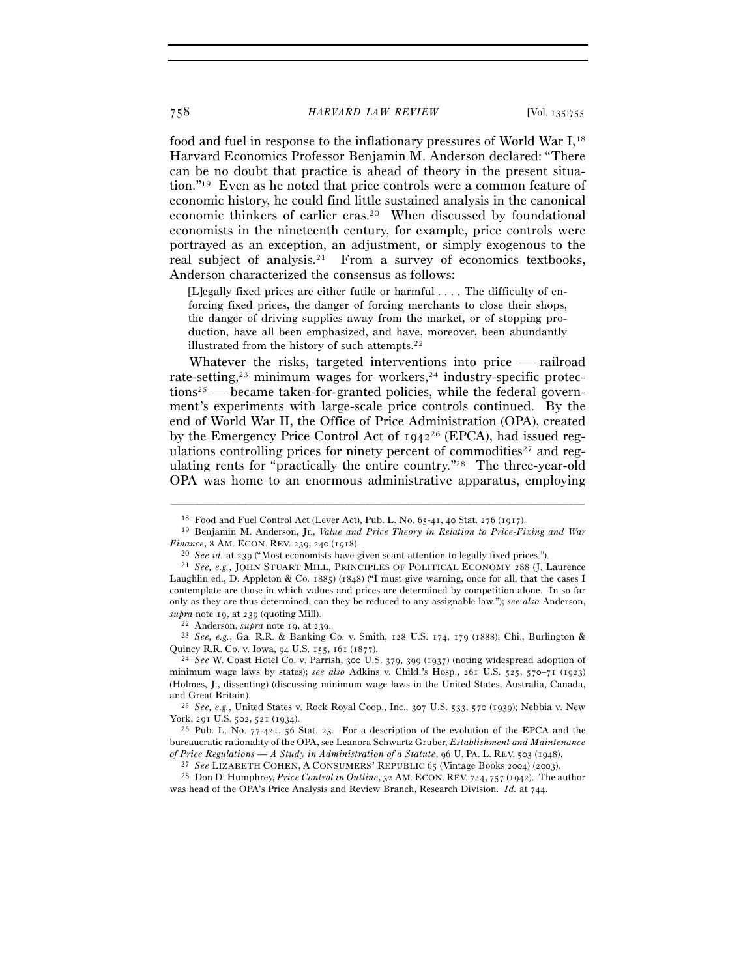food and fuel in response to the inflationary pressures of World War I,<sup>18</sup> Harvard Economics Professor Benjamin M. Anderson declared: "There can be no doubt that practice is ahead of theory in the present situation."19 Even as he noted that price controls were a common feature of economic history, he could find little sustained analysis in the canonical economic thinkers of earlier eras.20 When discussed by foundational economists in the nineteenth century, for example, price controls were portrayed as an exception, an adjustment, or simply exogenous to the real subject of analysis.21 From a survey of economics textbooks, Anderson characterized the consensus as follows:

[L]egally fixed prices are either futile or harmful . . . . The difficulty of enforcing fixed prices, the danger of forcing merchants to close their shops, the danger of driving supplies away from the market, or of stopping production, have all been emphasized, and have, moreover, been abundantly illustrated from the history of such attempts.<sup>22</sup>

Whatever the risks, targeted interventions into price — railroad rate-setting, $23$  minimum wages for workers, $24$  industry-specific protec $tions<sup>25</sup>$  — became taken-for-granted policies, while the federal government's experiments with large-scale price controls continued. By the end of World War II, the Office of Price Administration (OPA), created by the Emergency Price Control Act of  $1942^{26}$  (EPCA), had issued regulations controlling prices for ninety percent of commodities<sup>27</sup> and regulating rents for "practically the entire country."28 The three-year-old OPA was home to an enormous administrative apparatus, employing

–––––––––––––––––––––––––––––––––––––––––––––––––––––––––––––

*supra* note 19, at <sup>239</sup> (quoting Mill). 22 Anderson, *supra* note 19, at <sup>239</sup>. 23 *See, e.g.*, Ga. R.R. & Banking Co. v. Smith, 128 U.S. 174, 179 (1888); Chi., Burlington & Quincy R.R. Co. v. Iowa, 94 U.S. 155, 161 (<sup>1877</sup>). 24 *See* W. Coast Hotel Co. v. Parrish, 300 U.S. 379, 399 (1937) (noting widespread adoption of

minimum wage laws by states); *see also* Adkins v. Child.'s Hosp., 261 U.S. 525, 570–71 (1923) (Holmes, J., dissenting) (discussing minimum wage laws in the United States, Australia, Canada,

and Great Britain). 25 *See, e.g.*, United States v. Rock Royal Coop., Inc., 307 U.S. 533, 570 (1939); Nebbia v. New

<sup>18</sup> Food and Fuel Control Act (Lever Act), Pub. L. No. 65-41, 40 Stat. 276 (<sup>1917</sup>). 19 Benjamin M. Anderson, Jr., *Value and Price Theory in Relation to Price-Fixing and War Finance*, 8 AM. ECON. REV. 239, 240 (1918).<br><sup>20</sup> *See id.* at 239 ("Most economists have given scant attention to legally fixed prices.").<br><sup>21</sup> *See, e.g.*, JOHN STUART MILL, PRINCIPLES OF POLITICAL ECONOMY 288 (J. Lauren

Laughlin ed., D. Appleton & Co. 1885) (1848) ("I must give warning, once for all, that the cases I contemplate are those in which values and prices are determined by competition alone. In so far only as they are thus determined, can they be reduced to any assignable law."); *see also* Anderson,

 $26$  Pub. L. No. 77-421, 56 Stat. 23. For a description of the evolution of the EPCA and the bureaucratic rationality of the OPA, see Leanora Schwartz Gruber, *Establishment and Maintenance*  of Price Regulations — A Study in Administration of a Statute, 96 U. PA. L. REV. 503 (1948).<br><sup>27</sup> See LIZABETH COHEN, A CONSUMERS' REPUBLIC 65 (Vintage Books 2004) (2003).<br><sup>28</sup> Don D. Humphrey, Price Control in Outline, 3

was head of the OPA's Price Analysis and Review Branch, Research Division. *Id.* at 744.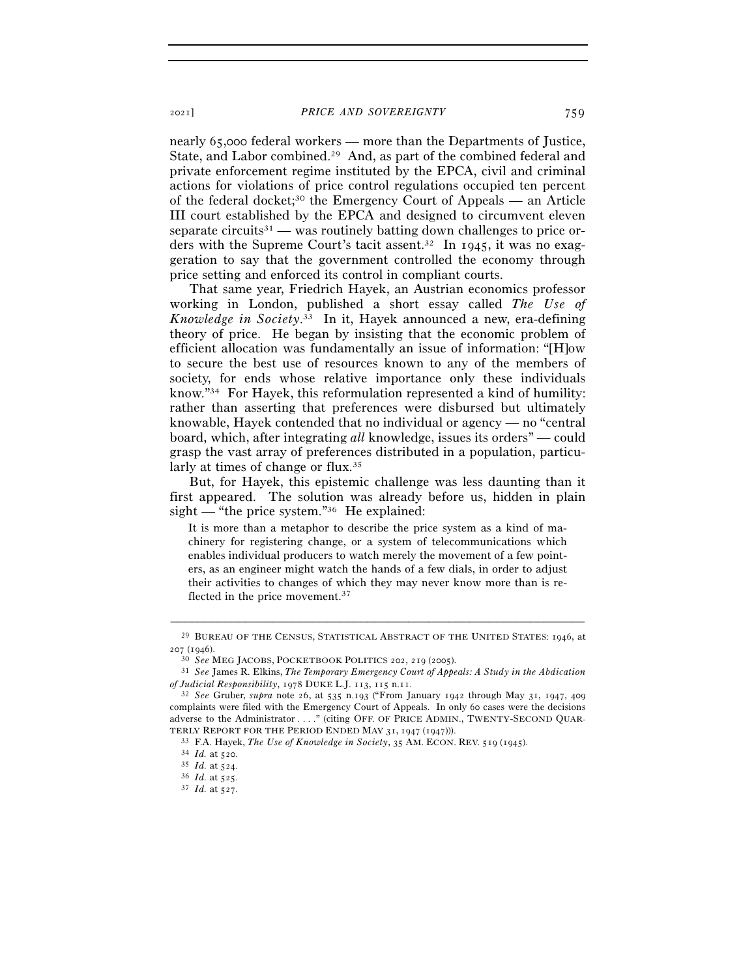nearly 65,000 federal workers — more than the Departments of Justice, State, and Labor combined.29 And, as part of the combined federal and private enforcement regime instituted by the EPCA, civil and criminal actions for violations of price control regulations occupied ten percent of the federal docket;<sup>30</sup> the Emergency Court of Appeals — an Article III court established by the EPCA and designed to circumvent eleven separate circuits<sup>31</sup> — was routinely batting down challenges to price orders with the Supreme Court's tacit assent.32 In 1945, it was no exaggeration to say that the government controlled the economy through price setting and enforced its control in compliant courts.

That same year, Friedrich Hayek, an Austrian economics professor working in London, published a short essay called *The Use of Knowledge in Society*. 33 In it, Hayek announced a new, era-defining theory of price. He began by insisting that the economic problem of efficient allocation was fundamentally an issue of information: "[H]ow to secure the best use of resources known to any of the members of society, for ends whose relative importance only these individuals know."34 For Hayek, this reformulation represented a kind of humility: rather than asserting that preferences were disbursed but ultimately knowable, Hayek contended that no individual or agency — no "central board, which, after integrating *all* knowledge, issues its orders" — could grasp the vast array of preferences distributed in a population, particularly at times of change or flux.<sup>35</sup>

But, for Hayek, this epistemic challenge was less daunting than it first appeared. The solution was already before us, hidden in plain sight — "the price system."36 He explained:

It is more than a metaphor to describe the price system as a kind of machinery for registering change, or a system of telecommunications which enables individual producers to watch merely the movement of a few pointers, as an engineer might watch the hands of a few dials, in order to adjust their activities to changes of which they may never know more than is reflected in the price movement.<sup>37</sup>

<sup>–––––––––––––––––––––––––––––––––––––––––––––––––––––––––––––</sup>  $^{29}$  BUREAU OF THE CENSUS, STATISTICAL ABSTRACT OF THE UNITED STATES: 1946, at  $\rm{207}$  (1946).

<sup>207</sup> (<sup>1946</sup>). 30 *See* MEG JACOBS, POCKETBOOK POLITICS <sup>202</sup>, 219 (<sup>2005</sup>). 31 *See* James R. Elkins, *The Temporary Emergency Court of Appeals: A Study in the Abdication* 

*of Judicial Responsibility*, 1978 DUKE L.J. 113, 115 n.<sup>11</sup>. 32 *See* Gruber, *supra* note 26, at 535 n.193 ("From January 1942 through May 31, 1947, <sup>409</sup> complaints were filed with the Emergency Court of Appeals. In only 60 cases were the decisions adverse to the Administrator . . . ." (citing OFF. OF PRICE ADMIN., TWENTY-SECOND QUAR-TERLY REPORT FOR THE PERIOD ENDED MAY 31, 1947 (1947))).<br>  $^{33}$  F.A. Hayek, *The Use of Knowledge in Society*, 35 AM. ECON. REV. 519 (1945).<br>  $^{34}$  *Id.* at 520.<br>  $^{35}$  *Id.* at 524.<br>  $^{36}$  *Id.* at 525.<br>  $^{37}$  *Id.*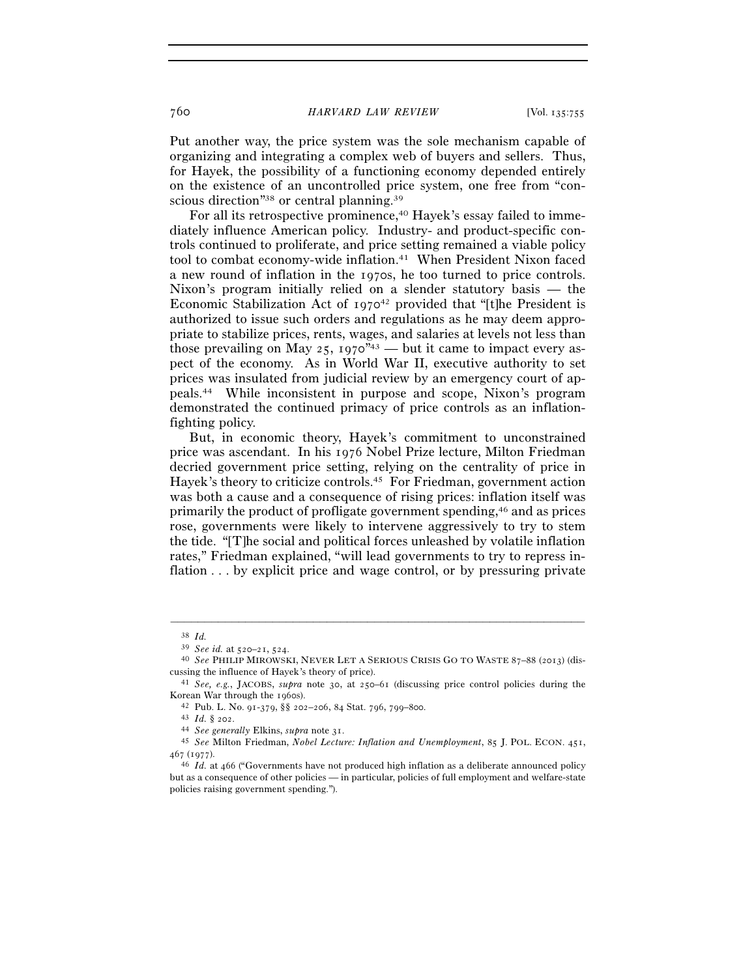Put another way, the price system was the sole mechanism capable of organizing and integrating a complex web of buyers and sellers. Thus, for Hayek, the possibility of a functioning economy depended entirely on the existence of an uncontrolled price system, one free from "conscious direction"38 or central planning.39

For all its retrospective prominence,<sup>40</sup> Hayek's essay failed to immediately influence American policy. Industry- and product-specific controls continued to proliferate, and price setting remained a viable policy tool to combat economy-wide inflation.<sup>41</sup> When President Nixon faced a new round of inflation in the 1970s, he too turned to price controls. Nixon's program initially relied on a slender statutory basis — the Economic Stabilization Act of  $1970^{42}$  provided that "[t]he President is authorized to issue such orders and regulations as he may deem appropriate to stabilize prices, rents, wages, and salaries at levels not less than those prevailing on May 25,  $1970^{43}$  — but it came to impact every aspect of the economy. As in World War II, executive authority to set prices was insulated from judicial review by an emergency court of appeals.44 While inconsistent in purpose and scope, Nixon's program demonstrated the continued primacy of price controls as an inflationfighting policy.

But, in economic theory, Hayek's commitment to unconstrained price was ascendant. In his 1976 Nobel Prize lecture, Milton Friedman decried government price setting, relying on the centrality of price in Hayek's theory to criticize controls.45 For Friedman, government action was both a cause and a consequence of rising prices: inflation itself was primarily the product of profligate government spending,46 and as prices rose, governments were likely to intervene aggressively to try to stem the tide. "[T]he social and political forces unleashed by volatile inflation rates," Friedman explained, "will lead governments to try to repress inflation . . . by explicit price and wage control, or by pressuring private

<sup>38</sup> *Id.* 

<sup>&</sup>lt;sup>40</sup> See PHILIP MIROWSKI, NEVER LET A SERIOUS CRISIS GO TO WASTE 87-88 (2013) (discussing the influence of Hayek's theory of price). 41 *See, e.g.*, JACOBS, *supra* note 30, at 250–61 (discussing price control policies during the

Korean War through the 1960s).<br>
<sup>42</sup> Pub. L. No. 91-379, §§ 202–206, 84 Stat. 796, 799–800.<br>
<sup>43</sup> Id. § 202.<br>
<sup>44</sup> See generally Elkins, *supra* note 31.<br>
<sup>45</sup> See Milton Friedman, *Nobel Lecture: Inflation and Unemploymen* 

<sup>467</sup> (<sup>1977</sup>). 46 *Id.* at 466 ("Governments have not produced high inflation as a deliberate announced policy

but as a consequence of other policies — in particular, policies of full employment and welfare-state policies raising government spending.").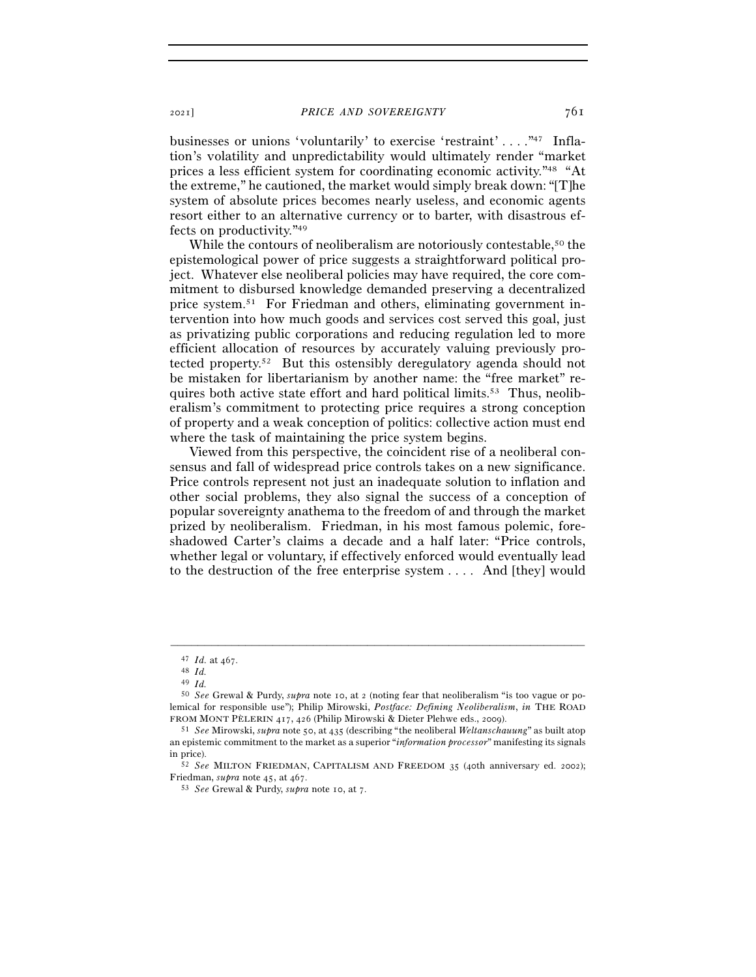businesses or unions 'voluntarily' to exercise 'restraint' . . . ."47 Inflation's volatility and unpredictability would ultimately render "market prices a less efficient system for coordinating economic activity."48 "At the extreme," he cautioned, the market would simply break down: "[T]he system of absolute prices becomes nearly useless, and economic agents resort either to an alternative currency or to barter, with disastrous effects on productivity."49

While the contours of neoliberalism are notoriously contestable,<sup>50</sup> the epistemological power of price suggests a straightforward political project. Whatever else neoliberal policies may have required, the core commitment to disbursed knowledge demanded preserving a decentralized price system.51 For Friedman and others, eliminating government intervention into how much goods and services cost served this goal, just as privatizing public corporations and reducing regulation led to more efficient allocation of resources by accurately valuing previously protected property.52 But this ostensibly deregulatory agenda should not be mistaken for libertarianism by another name: the "free market" requires both active state effort and hard political limits.<sup>53</sup> Thus, neoliberalism's commitment to protecting price requires a strong conception of property and a weak conception of politics: collective action must end where the task of maintaining the price system begins.

Viewed from this perspective, the coincident rise of a neoliberal consensus and fall of widespread price controls takes on a new significance. Price controls represent not just an inadequate solution to inflation and other social problems, they also signal the success of a conception of popular sovereignty anathema to the freedom of and through the market prized by neoliberalism. Friedman, in his most famous polemic, foreshadowed Carter's claims a decade and a half later: "Price controls, whether legal or voluntary, if effectively enforced would eventually lead to the destruction of the free enterprise system . . . . And [they] would

<sup>47</sup> *Id.* at <sup>467</sup>. 48 *Id.* 

<sup>49</sup> *Id.* 

<sup>50</sup> *See* Grewal & Purdy, *supra* note 10, at 2 (noting fear that neoliberalism "is too vague or polemical for responsible use"); Philip Mirowski, *Postface: Defining Neoliberalism*, *in* THE ROAD FROM MONT PÈLERIN <sup>417</sup>, 426 (Philip Mirowski & Dieter Plehwe eds., <sup>2009</sup>). 51 *See* Mirowski, *supra* note 50, at 435 (describing "the neoliberal *Weltanschauung*" as built atop

an epistemic commitment to the market as a superior "*information processor*" manifesting its signals in price). 52 *See* MILTON FRIEDMAN, CAPITALISM AND FREEDOM <sup>35</sup> (40th anniversary ed. 2002);

Friedman, *supra* note 45, at <sup>467</sup>. 53 *See* Grewal & Purdy, *supra* note 10, at 7.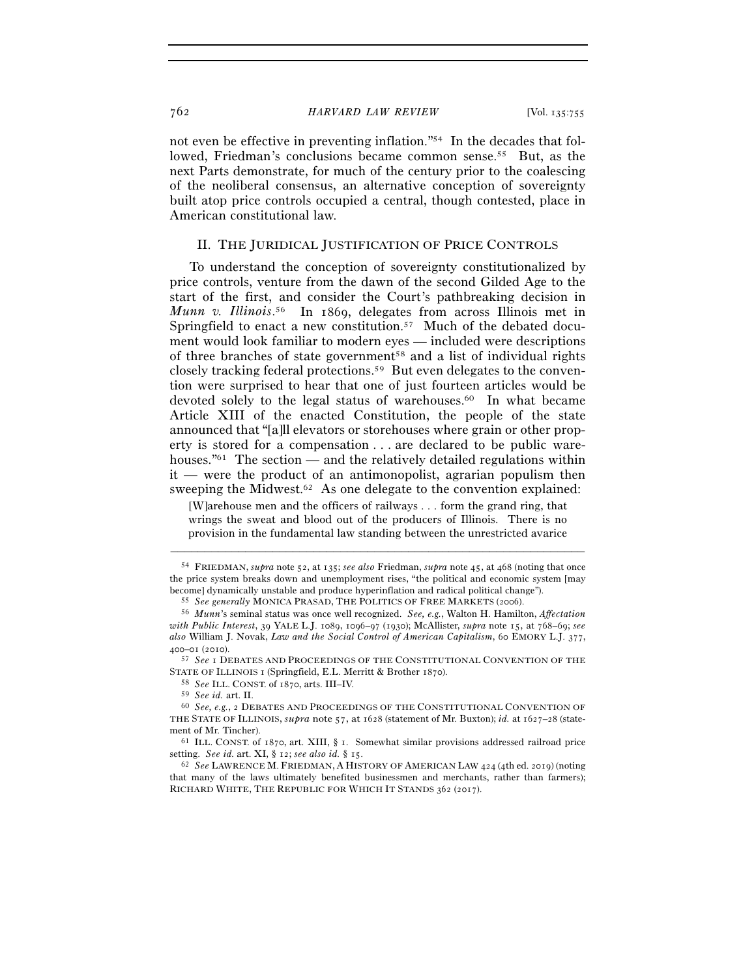not even be effective in preventing inflation."54 In the decades that followed, Friedman's conclusions became common sense.<sup>55</sup> But, as the next Parts demonstrate, for much of the century prior to the coalescing of the neoliberal consensus, an alternative conception of sovereignty built atop price controls occupied a central, though contested, place in American constitutional law.

# II. THE JURIDICAL JUSTIFICATION OF PRICE CONTROLS

To understand the conception of sovereignty constitutionalized by price controls, venture from the dawn of the second Gilded Age to the start of the first, and consider the Court's pathbreaking decision in *Munn v. Illinois*. 56 In 1869, delegates from across Illinois met in Springfield to enact a new constitution.<sup>57</sup> Much of the debated document would look familiar to modern eyes — included were descriptions of three branches of state government58 and a list of individual rights closely tracking federal protections.59 But even delegates to the convention were surprised to hear that one of just fourteen articles would be devoted solely to the legal status of warehouses.<sup>60</sup> In what became Article XIII of the enacted Constitution, the people of the state announced that "[a]ll elevators or storehouses where grain or other property is stored for a compensation . . . are declared to be public warehouses.<sup>" $61$ </sup> The section — and the relatively detailed regulations within it — were the product of an antimonopolist, agrarian populism then sweeping the Midwest.<sup>62</sup> As one delegate to the convention explained:

 [W]arehouse men and the officers of railways . . . form the grand ring, that wrings the sweat and blood out of the producers of Illinois. There is no provision in the fundamental law standing between the unrestricted avarice

<sup>54</sup> FRIEDMAN, *supra* note 52, at 135; *see also* Friedman, *supra* note 45, at 468 (noting that once the price system breaks down and unemployment rises, "the political and economic system [may % become] dynamically unstable and produce hyperinflation and radical political change").<br>  $55$  See generally MONICA PRASAD, THE POLITICS OF FREE MARKETS (2006).<br>  $56$  Munn's seminal status was once well recognized. See,

*with Public Interest*, 39 YALE L.J. 1089, 1096–97 (1930); McAllister, *supra* note 15, at 768–69; *see also* William J. Novak, *Law and the Social Control of American Capitalism*, 60 EMORY L.J. 377,

<sup>&</sup>lt;sup>57</sup> See I DEBATES AND PROCEEDINGS OF THE CONSTITUTIONAL CONVENTION OF THE STATE OF ILLINOIS 1 (Springfield, E.L. Merritt & Brother 1870).<br><sup>58</sup> *See* ILL. CONST. of 1870, arts. III–IV.<br><sup>59</sup> *See id.* art. II.

<sup>&</sup>lt;sup>60</sup> See, e.g., 2 DEBATES AND PROCEEDINGS OF THE CONSTITUTIONAL CONVENTION OF THE STATE OF ILLINOIS, *supra* note 57, at 1628 (statement of Mr. Buxton); *id.* at 1627–28 (statement of Mr. Tincher).<br><sup>61</sup> ILL. CONST. of 1870, art. XIII, § 1. Somewhat similar provisions addressed railroad price

setting. *See id.* art. XI, § 12; *see also id.* § <sup>15</sup>. 62 *See* LAWRENCE M. FRIEDMAN, <sup>A</sup> HISTORY OF AMERICAN LAW <sup>424</sup> (4th ed. 2019) (noting

that many of the laws ultimately benefited businessmen and merchants, rather than farmers); RICHARD WHITE, THE REPUBLIC FOR WHICH IT STANDS 362 (2017).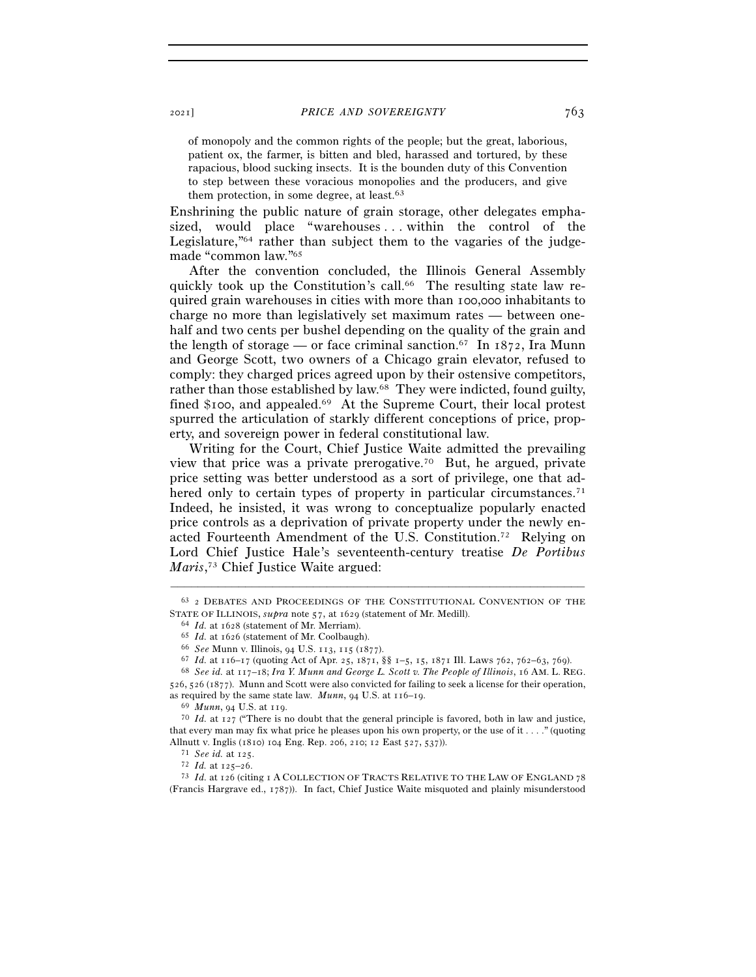of monopoly and the common rights of the people; but the great, laborious, patient ox, the farmer, is bitten and bled, harassed and tortured, by these rapacious, blood sucking insects. It is the bounden duty of this Convention to step between these voracious monopolies and the producers, and give them protection, in some degree, at least.<sup>63</sup>

Enshrining the public nature of grain storage, other delegates emphasized, would place "warehouses...within the control of the Legislature,"64 rather than subject them to the vagaries of the judgemade "common law."65

After the convention concluded, the Illinois General Assembly quickly took up the Constitution's call.<sup>66</sup> The resulting state law required grain warehouses in cities with more than 100,000 inhabitants to charge no more than legislatively set maximum rates — between onehalf and two cents per bushel depending on the quality of the grain and the length of storage — or face criminal sanction.<sup>67</sup> In  $1872$ , Ira Munn and George Scott, two owners of a Chicago grain elevator, refused to comply: they charged prices agreed upon by their ostensive competitors, rather than those established by law.68 They were indicted, found guilty, fined \$100, and appealed.69 At the Supreme Court, their local protest spurred the articulation of starkly different conceptions of price, property, and sovereign power in federal constitutional law.

Writing for the Court, Chief Justice Waite admitted the prevailing view that price was a private prerogative.70 But, he argued, private price setting was better understood as a sort of privilege, one that adhered only to certain types of property in particular circumstances.<sup>71</sup> Indeed, he insisted, it was wrong to conceptualize popularly enacted price controls as a deprivation of private property under the newly enacted Fourteenth Amendment of the U.S. Constitution.72 Relying on Lord Chief Justice Hale's seventeenth-century treatise *De Portibus Maris*, 73 Chief Justice Waite argued:

<sup>–––––––––––––––––––––––––––––––––––––––––––––––––––––––––––––</sup> <sup>63</sup> 2 DEBATES AND PROCEEDINGS OF THE CONSTITUTIONAL CONVENTION OF THE STATE OF ILLINOIS, *supra* note 57, at 1629 (statement of Mr. Medill).<br>
<sup>64</sup> *Id.* at 1628 (statement of Mr. Merriam).<br>
<sup>65</sup> *Id.* at 1626 (statement of Mr. Coolbaugh).<br>
<sup>66</sup> *See* Munn v. Illinois, 94 U.S. 113, 115 (1877

<sup>526</sup>, 526 (1877). Munn and Scott were also convicted for failing to seek a license for their operation,

as required by the same state law. *Munn*, 94 U.S. at 116–19.<br><sup>69</sup> *Munn*, 94 U.S. at 119.<br><sup>70</sup> *Id.* at 127 ("There is no doubt that the general principle is favored, both in law and justice, that every man may fix what price he pleases upon his own property, or the use of it . . . ." (quoting Allnutt v. Inglis (1810) 104 Eng. Rep. 206, 210; 12 East 527, 537)).<br><sup>71</sup> *See id.* at 125.<br><sup>72</sup> *Id.* at 125–26.<br><sup>73</sup> *Id.* at 126 (citing 1 A COLLECTION OF TRACTS RELATIVE TO THE LAW OF ENGLAND 78

<sup>(</sup>Francis Hargrave ed., 1787)). In fact, Chief Justice Waite misquoted and plainly misunderstood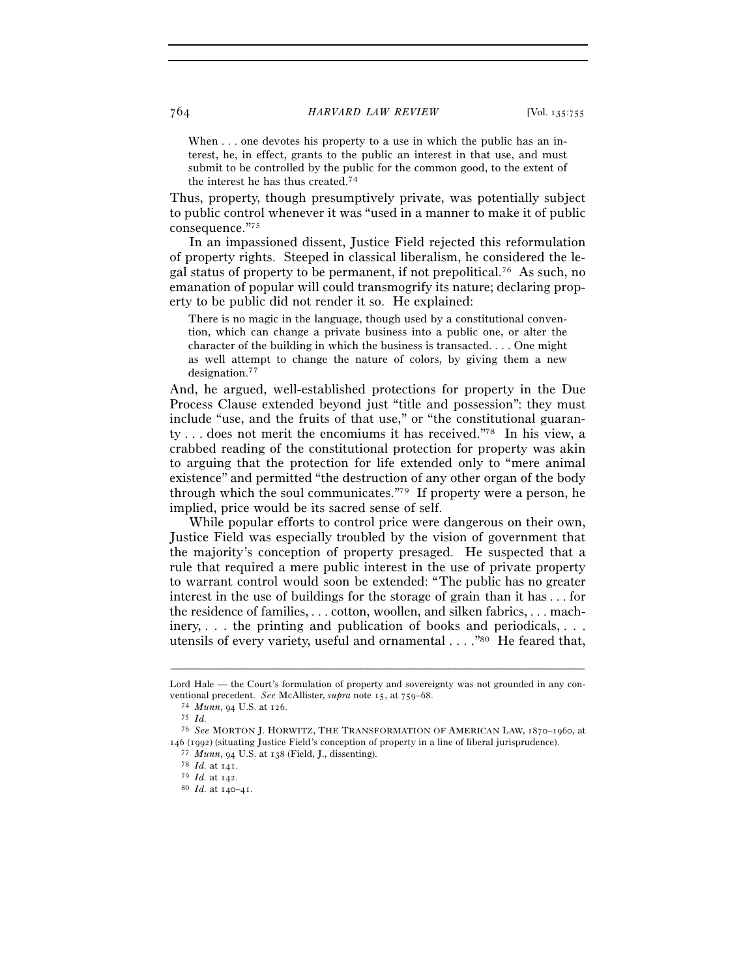When . . . one devotes his property to a use in which the public has an interest, he, in effect, grants to the public an interest in that use, and must submit to be controlled by the public for the common good, to the extent of the interest he has thus created.74

Thus, property, though presumptively private, was potentially subject to public control whenever it was "used in a manner to make it of public consequence."75

In an impassioned dissent, Justice Field rejected this reformulation of property rights. Steeped in classical liberalism, he considered the legal status of property to be permanent, if not prepolitical.76 As such, no emanation of popular will could transmogrify its nature; declaring property to be public did not render it so. He explained:

There is no magic in the language, though used by a constitutional convention, which can change a private business into a public one, or alter the character of the building in which the business is transacted. . . . One might as well attempt to change the nature of colors, by giving them a new designation.77

And, he argued, well-established protections for property in the Due Process Clause extended beyond just "title and possession": they must include "use, and the fruits of that use," or "the constitutional guaranty . . . does not merit the encomiums it has received."78 In his view, a crabbed reading of the constitutional protection for property was akin to arguing that the protection for life extended only to "mere animal existence" and permitted "the destruction of any other organ of the body through which the soul communicates."79 If property were a person, he implied, price would be its sacred sense of self.

While popular efforts to control price were dangerous on their own, Justice Field was especially troubled by the vision of government that the majority's conception of property presaged. He suspected that a rule that required a mere public interest in the use of private property to warrant control would soon be extended: "The public has no greater interest in the use of buildings for the storage of grain than it has . . . for the residence of families, . . . cotton, woollen, and silken fabrics, . . . machinery, . . . the printing and publication of books and periodicals, . . . utensils of every variety, useful and ornamental . . . . "80 He feared that,

<sup>–––––––––––––––––––––––––––––––––––––––––––––––––––––––––––––</sup> Lord Hale — the Court's formulation of property and sovereignty was not grounded in any conventional precedent. *See* McAllister, *supra* note 15, at 759–<sup>68</sup>. 74 *Munn*, 94 U.S. at <sup>126</sup>. 75 *Id.* 

<sup>76</sup> *See* MORTON J. HORWITZ, THE TRANSFORMATION OF AMERICAN LAW, 1870–1960, at 146 (1992) (situating Justice Field's conception of property in a line of liberal jurisprudence). <sup>77</sup> *Munn*, 94 U.S. at 138 (Field, J., dissenting). <sup>78</sup> *Id.* at 141. <sup>79</sup> *Id.* at 142. <sup>80</sup> *Id.* at 140–41.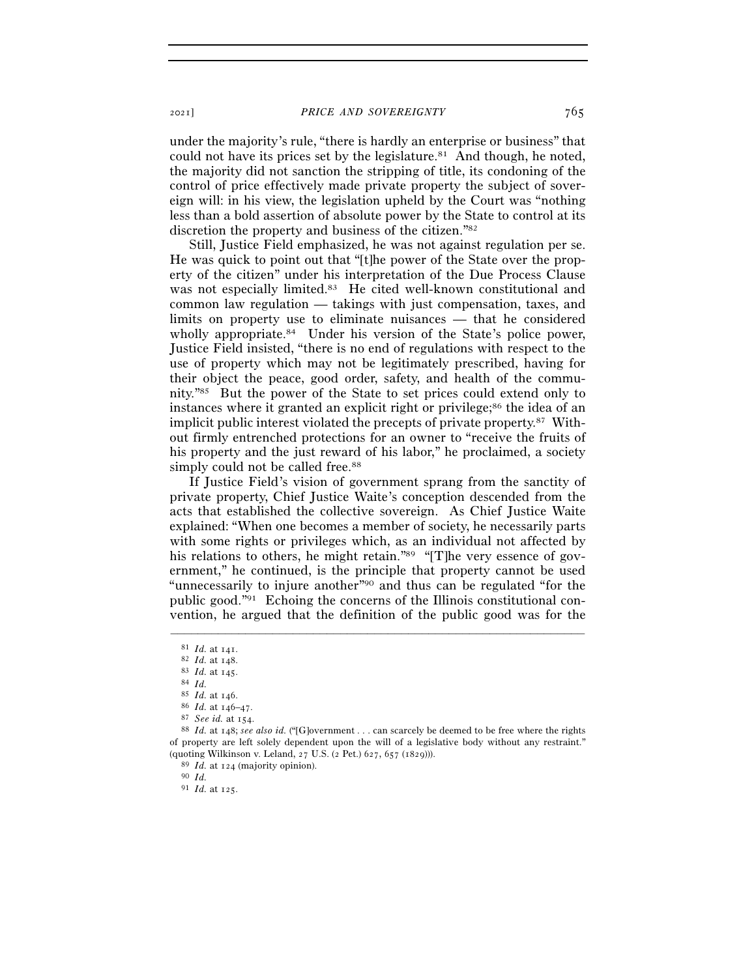under the majority's rule, "there is hardly an enterprise or business" that could not have its prices set by the legislature.<sup>81</sup> And though, he noted, the majority did not sanction the stripping of title, its condoning of the control of price effectively made private property the subject of sovereign will: in his view, the legislation upheld by the Court was "nothing less than a bold assertion of absolute power by the State to control at its discretion the property and business of the citizen."82

Still, Justice Field emphasized, he was not against regulation per se. He was quick to point out that "[t]he power of the State over the property of the citizen" under his interpretation of the Due Process Clause was not especially limited.<sup>83</sup> He cited well-known constitutional and common law regulation — takings with just compensation, taxes, and limits on property use to eliminate nuisances — that he considered wholly appropriate.<sup>84</sup> Under his version of the State's police power, Justice Field insisted, "there is no end of regulations with respect to the use of property which may not be legitimately prescribed, having for their object the peace, good order, safety, and health of the community."85 But the power of the State to set prices could extend only to instances where it granted an explicit right or privilege;<sup>86</sup> the idea of an implicit public interest violated the precepts of private property.87 Without firmly entrenched protections for an owner to "receive the fruits of his property and the just reward of his labor," he proclaimed, a society simply could not be called free.<sup>88</sup>

If Justice Field's vision of government sprang from the sanctity of private property, Chief Justice Waite's conception descended from the acts that established the collective sovereign. As Chief Justice Waite explained: "When one becomes a member of society, he necessarily parts with some rights or privileges which, as an individual not affected by his relations to others, he might retain."<sup>89</sup> "[T]he very essence of government," he continued, is the principle that property cannot be used "unnecessarily to injure another"90 and thus can be regulated "for the public good."91 Echoing the concerns of the Illinois constitutional convention, he argued that the definition of the public good was for the

<sup>&</sup>lt;sup>81</sup> *Id.* at 141.<br>
<sup>82</sup> *Id.* at 148.<br>
<sup>83</sup> *Id.* at 145.<br>
<sup>84</sup> *Id.*<br>
<sup>85</sup> *Id.* at 146.<br>
<sup>85</sup> *Id.* at 146-47.<br>
<sup>87</sup> *See id.* at 154.<br>
<sup>87</sup> *See id.* at 154.<br>
<sup>87</sup> *See id.* at 154.<br>
<sup>88</sup> *Id.* at 148; *see also id.* of property are left solely dependent upon the will of a legislative body without any restraint." (quoting Wilkinson v. Leland, 27 U.S. (2 Pet.) 627, 657 (<sup>1829</sup>))). 89 *Id.* at <sup>124</sup> (majority opinion). 90 *Id.*

<sup>91</sup> *Id.* at 125.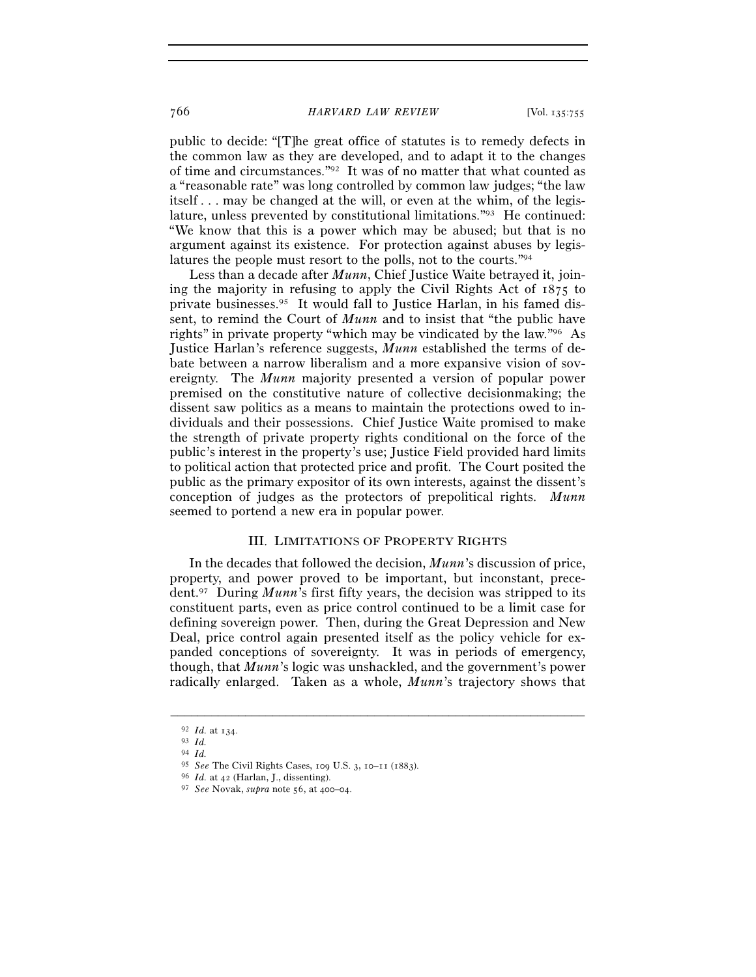public to decide: "[T]he great office of statutes is to remedy defects in the common law as they are developed, and to adapt it to the changes of time and circumstances."92 It was of no matter that what counted as a "reasonable rate" was long controlled by common law judges; "the law itself . . . may be changed at the will, or even at the whim, of the legislature, unless prevented by constitutional limitations."93 He continued: "We know that this is a power which may be abused; but that is no argument against its existence. For protection against abuses by legislatures the people must resort to the polls, not to the courts."94

Less than a decade after *Munn*, Chief Justice Waite betrayed it, joining the majority in refusing to apply the Civil Rights Act of 1875 to private businesses.95 It would fall to Justice Harlan, in his famed dissent, to remind the Court of *Munn* and to insist that "the public have rights" in private property "which may be vindicated by the law."96 As Justice Harlan's reference suggests, *Munn* established the terms of debate between a narrow liberalism and a more expansive vision of sovereignty. The *Munn* majority presented a version of popular power premised on the constitutive nature of collective decisionmaking; the dissent saw politics as a means to maintain the protections owed to individuals and their possessions. Chief Justice Waite promised to make the strength of private property rights conditional on the force of the public's interest in the property's use; Justice Field provided hard limits to political action that protected price and profit. The Court posited the public as the primary expositor of its own interests, against the dissent's conception of judges as the protectors of prepolitical rights. *Munn*  seemed to portend a new era in popular power.

### III. LIMITATIONS OF PROPERTY RIGHTS

In the decades that followed the decision, *Munn*'s discussion of price, property, and power proved to be important, but inconstant, precedent.97 During *Munn*'s first fifty years, the decision was stripped to its constituent parts, even as price control continued to be a limit case for defining sovereign power. Then, during the Great Depression and New Deal, price control again presented itself as the policy vehicle for expanded conceptions of sovereignty. It was in periods of emergency, though, that *Munn*'s logic was unshackled, and the government's power radically enlarged. Taken as a whole, *Munn*'s trajectory shows that

<sup>92</sup> *Id.* at <sup>134</sup>. 93 *Id.* 

<sup>94</sup> *Id.* 

<sup>95</sup> *See* The Civil Rights Cases, 109 U.S. 3, 10–11 (<sup>1883</sup>). 96 *Id.* at 42 (Harlan, J., dissenting).

<sup>97</sup> *See* Novak, *supra* note 56, at 400–04.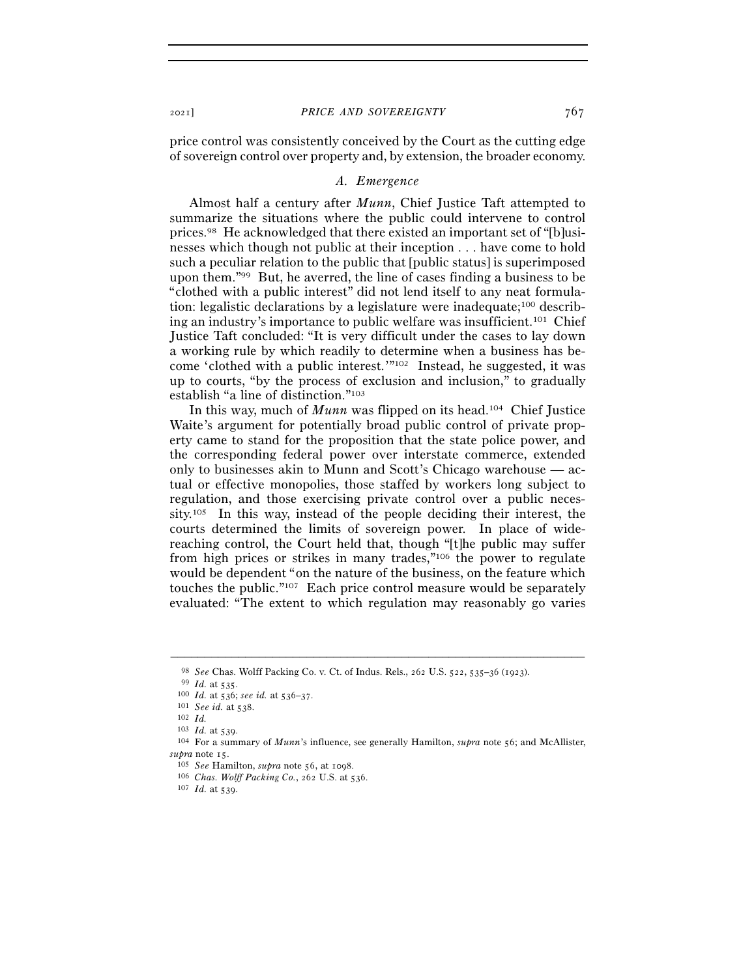price control was consistently conceived by the Court as the cutting edge of sovereign control over property and, by extension, the broader economy.

#### *A. Emergence*

Almost half a century after *Munn*, Chief Justice Taft attempted to summarize the situations where the public could intervene to control prices.98 He acknowledged that there existed an important set of "[b]usinesses which though not public at their inception . . . have come to hold such a peculiar relation to the public that [public status] is superimposed upon them."99 But, he averred, the line of cases finding a business to be "clothed with a public interest" did not lend itself to any neat formulation: legalistic declarations by a legislature were inadequate;100 describing an industry's importance to public welfare was insufficient.101 Chief Justice Taft concluded: "It is very difficult under the cases to lay down a working rule by which readily to determine when a business has become 'clothed with a public interest.'"102 Instead, he suggested, it was up to courts, "by the process of exclusion and inclusion," to gradually establish "a line of distinction."103

In this way, much of *Munn* was flipped on its head.104 Chief Justice Waite's argument for potentially broad public control of private property came to stand for the proposition that the state police power, and the corresponding federal power over interstate commerce, extended only to businesses akin to Munn and Scott's Chicago warehouse — actual or effective monopolies, those staffed by workers long subject to regulation, and those exercising private control over a public necessity.105 In this way, instead of the people deciding their interest, the courts determined the limits of sovereign power. In place of widereaching control, the Court held that, though "[t]he public may suffer from high prices or strikes in many trades,"106 the power to regulate would be dependent "on the nature of the business, on the feature which touches the public."107 Each price control measure would be separately evaluated: "The extent to which regulation may reasonably go varies

<sup>98</sup> *See* Chas. Wolff Packing Co. v. Ct. of Indus. Rels., 262 U.S. 522, 535–36 (<sup>1923</sup>). 99 *Id.* at <sup>535</sup>. 100 *Id.* at 536; *see id.* at 536–<sup>37</sup>. 101 *See id.* at <sup>538</sup>. 102 *Id.* 

<sup>&</sup>lt;sup>104</sup> For a summary of *Munn*'s influence, see generally Hamilton, *supra* note 56; and McAllister, *supra* note <sup>15</sup>. 105 *See* Hamilton, *supra* note 56, at <sup>1098</sup>. 106 *Chas. Wolff Packing Co.*, 262 U.S. at 536.

<sup>107</sup> *Id.* at 539.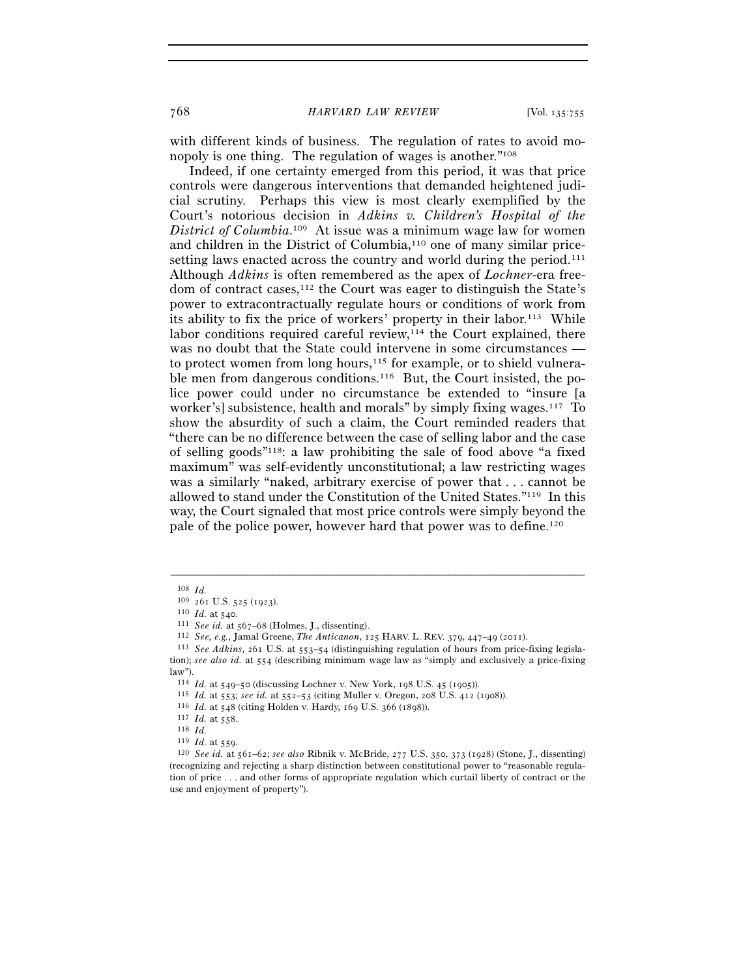with different kinds of business. The regulation of rates to avoid monopoly is one thing. The regulation of wages is another."108

Indeed, if one certainty emerged from this period, it was that price controls were dangerous interventions that demanded heightened judicial scrutiny. Perhaps this view is most clearly exemplified by the Court's notorious decision in *Adkins v. Children's Hospital of the District of Columbia*. 109 At issue was a minimum wage law for women and children in the District of Columbia,110 one of many similar pricesetting laws enacted across the country and world during the period.<sup>111</sup> Although *Adkins* is often remembered as the apex of *Lochner*-era freedom of contract cases,112 the Court was eager to distinguish the State's power to extracontractually regulate hours or conditions of work from its ability to fix the price of workers' property in their labor.113 While labor conditions required careful review, $114$  the Court explained, there was no doubt that the State could intervene in some circumstances to protect women from long hours,<sup>115</sup> for example, or to shield vulnerable men from dangerous conditions.<sup>116</sup> But, the Court insisted, the police power could under no circumstance be extended to "insure [a worker's] subsistence, health and morals" by simply fixing wages.117 To show the absurdity of such a claim, the Court reminded readers that "there can be no difference between the case of selling labor and the case of selling goods"118: a law prohibiting the sale of food above "a fixed maximum" was self-evidently unconstitutional; a law restricting wages was a similarly "naked, arbitrary exercise of power that . . . cannot be allowed to stand under the Constitution of the United States."119 In this way, the Court signaled that most price controls were simply beyond the pale of the police power, however hard that power was to define.120

 $^{108}$   $Id.$   $^{109}$   $_{261}$  U.S. 525 (1923).

<sup>110</sup> *Id.* at 540.<br>
<sup>111</sup> *See id.* at 567–68 (Holmes, J., dissenting).<br>
<sup>112</sup> *See, e.g., Jamal Greene, The Anticanon, 125 HARV. L. REV.* 379, 447–49 (2011).<br>
<sup>113</sup> *See Adkins, 261 U.S.* at 553–54 (distinguishing regulat tion); *see also id.* at 554 (describing minimum wage law as "simply and exclusively a price-fixing law").<br> $114$  *Id.* at 549–50 (discussing Lochner v. New York, 198 U.S. 45 (1905)).

<sup>&</sup>lt;sup>115</sup> *Id.* at 553; see id. at 552–53 (citing Muller v. Oregon, 208 U.S. 412 (1908)).<br>
<sup>116</sup> *Id.* at 548 (citing Holden v. Hardy, 169 U.S. 366 (1898)).<br>
<sup>117</sup> *Id.* at 558.<br>
<sup>119</sup> *Id.* at 559.<br>
<sup>119</sup> *Id.* at 559.<br>
<sup>120</sup> (recognizing and rejecting a sharp distinction between constitutional power to "reasonable regulation of price . . . and other forms of appropriate regulation which curtail liberty of contract or the use and enjoyment of property").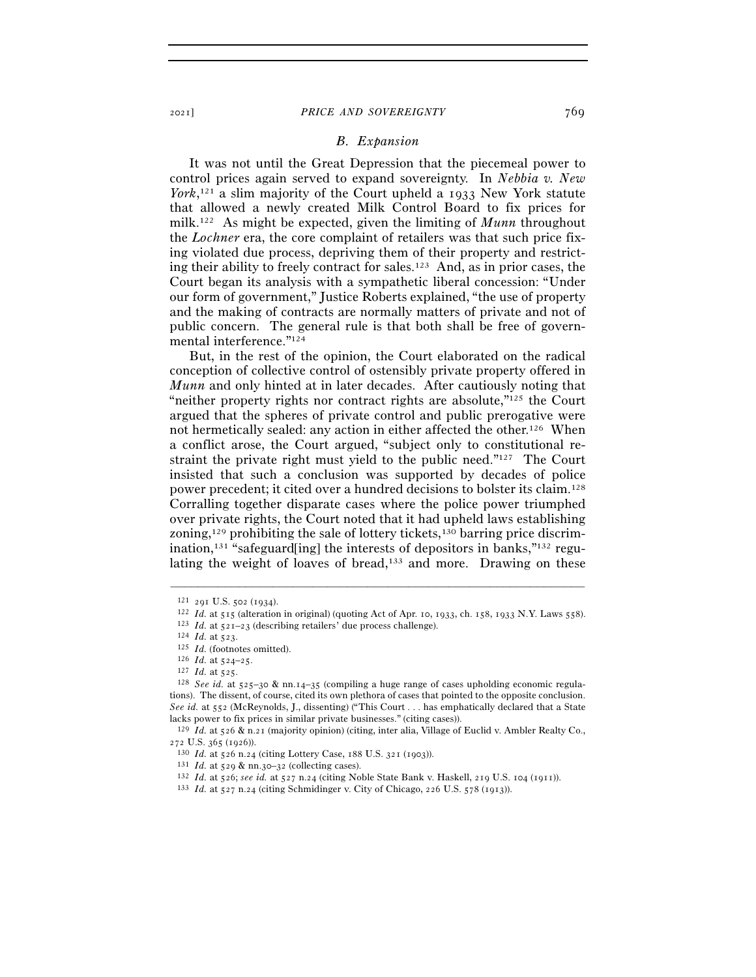#### *B. Expansion*

It was not until the Great Depression that the piecemeal power to control prices again served to expand sovereignty. In *Nebbia v. New York*, 121 a slim majority of the Court upheld a 1933 New York statute that allowed a newly created Milk Control Board to fix prices for milk.122 As might be expected, given the limiting of *Munn* throughout the *Lochner* era, the core complaint of retailers was that such price fixing violated due process, depriving them of their property and restricting their ability to freely contract for sales.<sup>123</sup> And, as in prior cases, the Court began its analysis with a sympathetic liberal concession: "Under our form of government," Justice Roberts explained, "the use of property and the making of contracts are normally matters of private and not of public concern. The general rule is that both shall be free of governmental interference."124

But, in the rest of the opinion, the Court elaborated on the radical conception of collective control of ostensibly private property offered in *Munn* and only hinted at in later decades. After cautiously noting that "neither property rights nor contract rights are absolute, $"^{125}$  the Court argued that the spheres of private control and public prerogative were not hermetically sealed: any action in either affected the other.126 When a conflict arose, the Court argued, "subject only to constitutional restraint the private right must yield to the public need."127 The Court insisted that such a conclusion was supported by decades of police power precedent; it cited over a hundred decisions to bolster its claim.128 Corralling together disparate cases where the police power triumphed over private rights, the Court noted that it had upheld laws establishing zoning,<sup>129</sup> prohibiting the sale of lottery tickets,<sup>130</sup> barring price discrimination,<sup>131</sup> "safeguard[ing] the interests of depositors in banks,<sup> $n_{132}$ </sup> regulating the weight of loaves of bread,<sup>133</sup> and more. Drawing on these

<sup>&</sup>lt;sup>121</sup> 291 U.S. 502 (1934).<br>
<sup>122</sup> *Id.* at 515 (alteration in original) (quoting Act of Apr. 10, 1933, ch. 158, 1933 N.Y. Laws 558).<br>
<sup>123</sup> *Id.* at 521-23 (describing retailers' due process challenge).<br>
<sup>123</sup> *Id.* at 52

tions). The dissent, of course, cited its own plethora of cases that pointed to the opposite conclusion. *See id.* at 552 (McReynolds, J., dissenting) ("This Court . . . has emphatically declared that a State lacks power to fix prices in similar private businesses." (citing cases)).

<sup>129</sup> *Id.* at 526 & n.21 (majority opinion) (citing, inter alia, Village of Euclid v. Ambler Realty Co.,

<sup>272</sup> U.S. 365 (1926)).<br><sup>130</sup> Id. at 526 n.24 (citing Lottery Case, 188 U.S. 321 (1903)).<br><sup>131</sup> Id. at 529 & nn.30–32 (collecting cases).<br><sup>132</sup> Id. at 526; *see id.* at 527 n.24 (citing Noble State Bank v. Haskell, 219 U.S.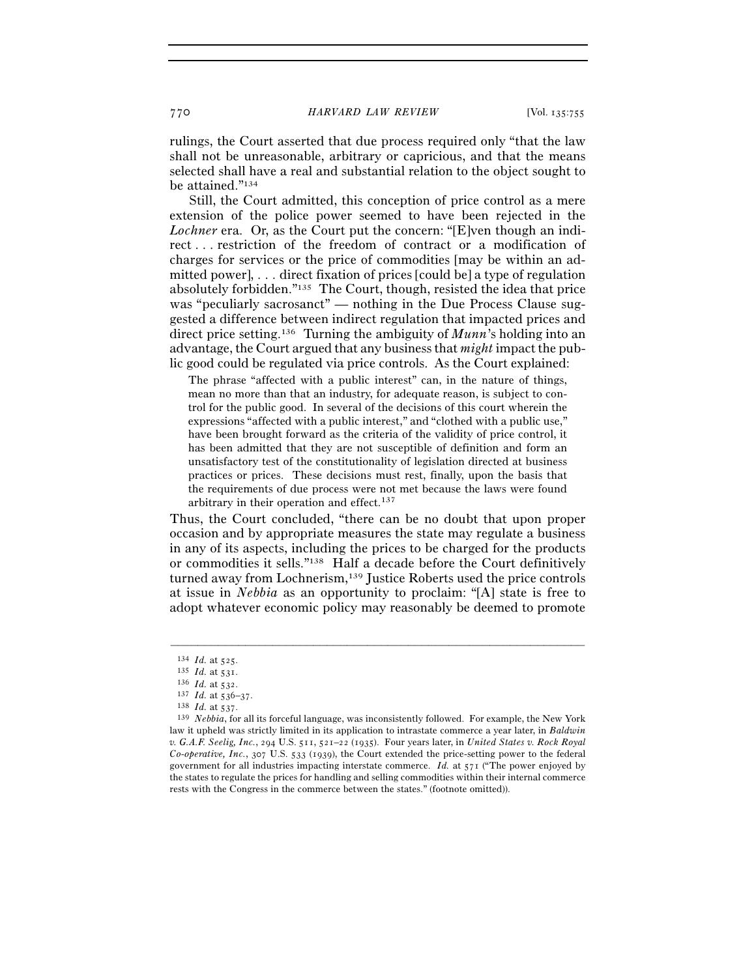rulings, the Court asserted that due process required only "that the law shall not be unreasonable, arbitrary or capricious, and that the means selected shall have a real and substantial relation to the object sought to be attained."134

Still, the Court admitted, this conception of price control as a mere extension of the police power seemed to have been rejected in the *Lochner* era. Or, as the Court put the concern: "[E]ven though an indirect . . . restriction of the freedom of contract or a modification of charges for services or the price of commodities [may be within an admitted power], . . . direct fixation of prices [could be] a type of regulation absolutely forbidden."135 The Court, though, resisted the idea that price was "peculiarly sacrosanct" — nothing in the Due Process Clause suggested a difference between indirect regulation that impacted prices and direct price setting.136 Turning the ambiguity of *Munn*'s holding into an advantage, the Court argued that any business that *might* impact the public good could be regulated via price controls. As the Court explained:

The phrase "affected with a public interest" can, in the nature of things, mean no more than that an industry, for adequate reason, is subject to control for the public good. In several of the decisions of this court wherein the expressions "affected with a public interest," and "clothed with a public use," have been brought forward as the criteria of the validity of price control, it has been admitted that they are not susceptible of definition and form an unsatisfactory test of the constitutionality of legislation directed at business practices or prices. These decisions must rest, finally, upon the basis that the requirements of due process were not met because the laws were found arbitrary in their operation and effect.<sup>137</sup>

Thus, the Court concluded, "there can be no doubt that upon proper occasion and by appropriate measures the state may regulate a business in any of its aspects, including the prices to be charged for the products or commodities it sells."138 Half a decade before the Court definitively turned away from Lochnerism,139 Justice Roberts used the price controls at issue in *Nebbia* as an opportunity to proclaim: "[A] state is free to adopt whatever economic policy may reasonably be deemed to promote

<sup>134</sup> *Id.* at 525.<br>
135 *Id.* at 531.<br>
136 *Id.* at 532.<br>
137 *Id.* at 536–37.<br>
139 *Nebbia*, for all its forceful language, was inconsistently followed. For example, the New York<br>
139 *Nebbia*, for all its forceful languag law it upheld was strictly limited in its application to intrastate commerce a year later, in *Baldwin v. G.A.F. Seelig, Inc.*, 294 U.S. 511, 521–22 (1935). Four years later, in *United States v. Rock Royal Co-operative, Inc.*, 307 U.S. 533 (1939), the Court extended the price-setting power to the federal government for all industries impacting interstate commerce. *Id.* at 571 ("The power enjoyed by the states to regulate the prices for handling and selling commodities within their internal commerce rests with the Congress in the commerce between the states." (footnote omitted)).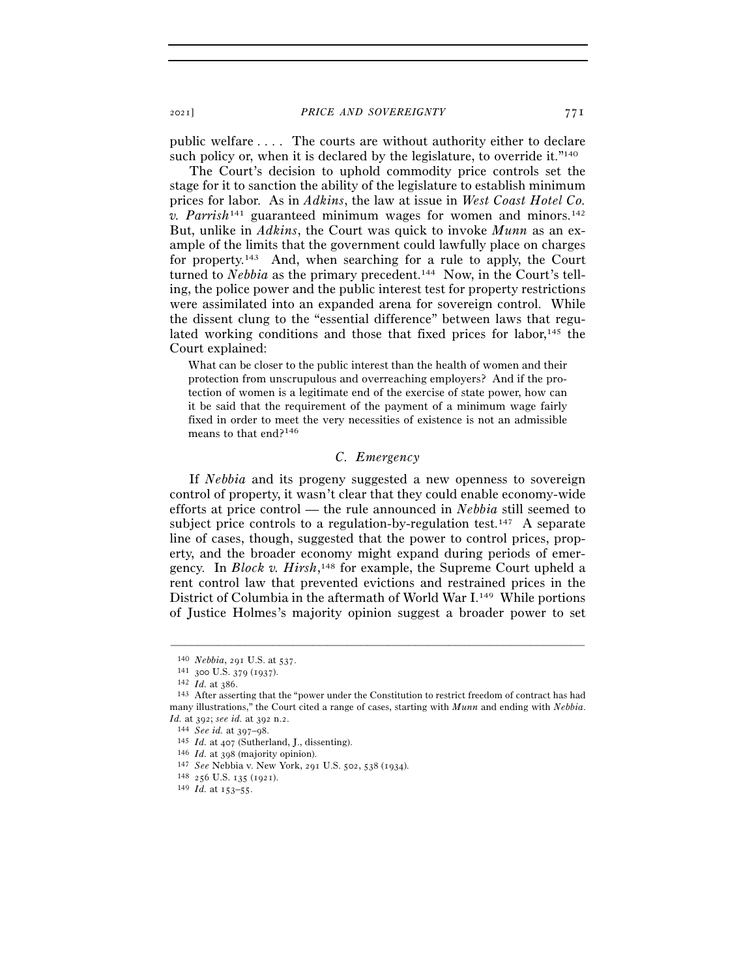public welfare . . . . The courts are without authority either to declare such policy or, when it is declared by the legislature, to override it."<sup>140</sup>

The Court's decision to uphold commodity price controls set the stage for it to sanction the ability of the legislature to establish minimum prices for labor. As in *Adkins*, the law at issue in *West Coast Hotel Co. v. Parrish*<sup>141</sup> guaranteed minimum wages for women and minors.142 But, unlike in *Adkins*, the Court was quick to invoke *Munn* as an example of the limits that the government could lawfully place on charges for property.143 And, when searching for a rule to apply, the Court turned to *Nebbia* as the primary precedent.<sup>144</sup> Now, in the Court's telling, the police power and the public interest test for property restrictions were assimilated into an expanded arena for sovereign control. While the dissent clung to the "essential difference" between laws that regulated working conditions and those that fixed prices for labor,<sup>145</sup> the Court explained:

What can be closer to the public interest than the health of women and their protection from unscrupulous and overreaching employers? And if the protection of women is a legitimate end of the exercise of state power, how can it be said that the requirement of the payment of a minimum wage fairly fixed in order to meet the very necessities of existence is not an admissible means to that end?146

## *C. Emergency*

If *Nebbia* and its progeny suggested a new openness to sovereign control of property, it wasn't clear that they could enable economy-wide efforts at price control — the rule announced in *Nebbia* still seemed to subject price controls to a regulation-by-regulation test.<sup>147</sup> A separate line of cases, though, suggested that the power to control prices, property, and the broader economy might expand during periods of emergency. In *Block v. Hirsh*, 148 for example, the Supreme Court upheld a rent control law that prevented evictions and restrained prices in the District of Columbia in the aftermath of World War I.149 While portions of Justice Holmes's majority opinion suggest a broader power to set

<sup>140</sup> *Nebbia*, 291 U.S. at 537.<br>
141 300 U.S. 379 (1937).<br>
142 *Id.* at 386.<br>
143 After asserting that the "power under the Constitution to restrict freedom of contract has had many illustrations," the Court cited a range of cases, starting with *Munn* and ending with *Nebbia*.

*Id.* at 392; see id. at 392 n.2.<br>
<sup>144</sup> See id. at 397–98.<br>
<sup>145</sup> *Id.* at 407 (Sutherland, J., dissenting).<br>
<sup>146</sup> *Id.* at 398 (majority opinion).<br>
<sup>147</sup> See Nebbia v. New York, 291 U.S. 502, 538 (1934).<br>
<sup>148</sup> 256 U.S.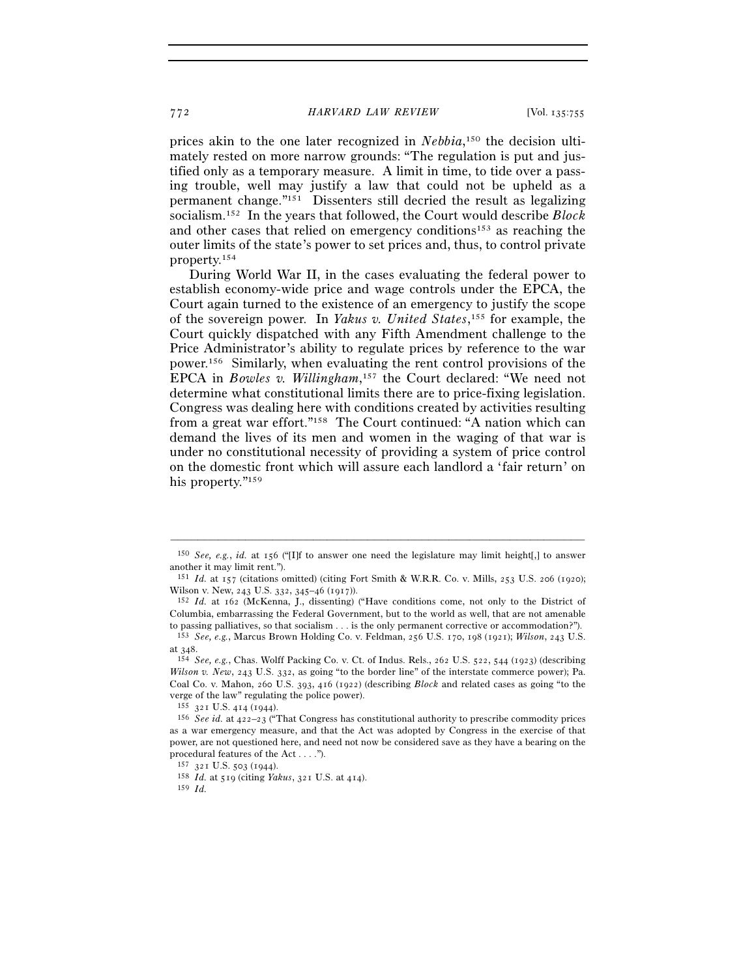prices akin to the one later recognized in *Nebbia*, 150 the decision ultimately rested on more narrow grounds: "The regulation is put and justified only as a temporary measure. A limit in time, to tide over a passing trouble, well may justify a law that could not be upheld as a permanent change."151 Dissenters still decried the result as legalizing socialism.152 In the years that followed, the Court would describe *Block* and other cases that relied on emergency conditions<sup>153</sup> as reaching the outer limits of the state's power to set prices and, thus, to control private property.154

During World War II, in the cases evaluating the federal power to establish economy-wide price and wage controls under the EPCA, the Court again turned to the existence of an emergency to justify the scope of the sovereign power. In *Yakus v. United States*, 155 for example, the Court quickly dispatched with any Fifth Amendment challenge to the Price Administrator's ability to regulate prices by reference to the war power.156 Similarly, when evaluating the rent control provisions of the EPCA in *Bowles v. Willingham*, 157 the Court declared: "We need not determine what constitutional limits there are to price-fixing legislation. Congress was dealing here with conditions created by activities resulting from a great war effort."158 The Court continued: "A nation which can demand the lives of its men and women in the waging of that war is under no constitutional necessity of providing a system of price control on the domestic front which will assure each landlord a 'fair return' on his property."<sup>159</sup>

<sup>–––––––––––––––––––––––––––––––––––––––––––––––––––––––––––––</sup> <sup>150</sup> *See, e.g.*, *id.* at 156 ("[I]f to answer one need the legislature may limit height[,] to answer another it may limit rent.").

<sup>151</sup> *Id.* at 157 (citations omitted) (citing Fort Smith & W.R.R. Co. v. Mills, 253 U.S. 206 (1920); Wilson v. New, 243 U.S. 332, 345–46 (1917)).<br><sup>152</sup> *Id.* at 162 (McKenna, J., dissenting) ("Have conditions come, not only to the District of

Columbia, embarrassing the Federal Government, but to the world as well, that are not amenable to passing palliatives, so that socialism . . . is the only permanent corrective or accommodation?"). 153 *See, e.g.*, Marcus Brown Holding Co. v. Feldman, 256 U.S. 170, 198 (1921); *Wilson*, 243 U.S.

at<sup>348</sup>. 154 *See, e.g.*, Chas. Wolff Packing Co. v. Ct. of Indus. Rels., 262 U.S. 522, 544 (1923) (describing

*Wilson v. New*, 243 U.S. 332, as going "to the border line" of the interstate commerce power); Pa. Coal Co. v. Mahon, 260 U.S. 393, 416 (1922) (describing *Block* and related cases as going "to the verge of the law" regulating the police power).

<sup>155</sup> <sup>321</sup> U.S. 414 (<sup>1944</sup>). 156 *See id.* at 422–23 ("That Congress has constitutional authority to prescribe commodity prices as a war emergency measure, and that the Act was adopted by Congress in the exercise of that power, are not questioned here, and need not now be considered save as they have a bearing on the procedural features of the Act . . . ."). 157 <sup>321</sup> U.S. 503 (<sup>1944</sup>). 158 *Id.* at 519 (citing *Yakus*, 321 U.S. at 414).

<sup>159</sup> *Id.*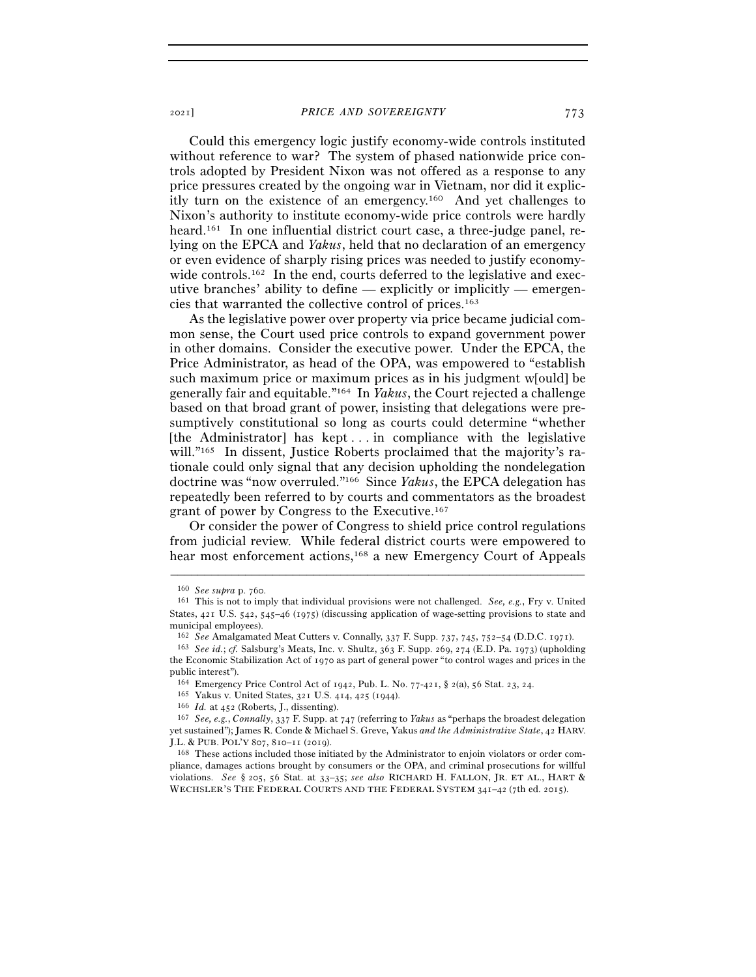Could this emergency logic justify economy-wide controls instituted without reference to war? The system of phased nationwide price controls adopted by President Nixon was not offered as a response to any price pressures created by the ongoing war in Vietnam, nor did it explicitly turn on the existence of an emergency.160 And yet challenges to Nixon's authority to institute economy-wide price controls were hardly heard.<sup>161</sup> In one influential district court case, a three-judge panel, relying on the EPCA and *Yakus*, held that no declaration of an emergency or even evidence of sharply rising prices was needed to justify economywide controls.<sup>162</sup> In the end, courts deferred to the legislative and executive branches' ability to define — explicitly or implicitly — emergencies that warranted the collective control of prices.163

As the legislative power over property via price became judicial common sense, the Court used price controls to expand government power in other domains. Consider the executive power. Under the EPCA, the Price Administrator, as head of the OPA, was empowered to "establish such maximum price or maximum prices as in his judgment w[ould] be generally fair and equitable."164 In *Yakus*, the Court rejected a challenge based on that broad grant of power, insisting that delegations were presumptively constitutional so long as courts could determine "whether [the Administrator] has kept . . . in compliance with the legislative will."165 In dissent, Justice Roberts proclaimed that the majority's rationale could only signal that any decision upholding the nondelegation doctrine was "now overruled."166 Since *Yakus*, the EPCA delegation has repeatedly been referred to by courts and commentators as the broadest grant of power by Congress to the Executive.167

Or consider the power of Congress to shield price control regulations from judicial review. While federal district courts were empowered to hear most enforcement actions,<sup>168</sup> a new Emergency Court of Appeals

<sup>160</sup> *See supra* p. <sup>760</sup>. 161 This is not to imply that individual provisions were not challenged. *See, e.g.*, Fry v. United States, 421 U.S. 542, 545–46 (1975) (discussing application of wage-setting provisions to state and municipal employees).

<sup>162</sup> *See* Amalgamated Meat Cutters v. Connally, 337 F. Supp. 737, 745, 752–54 (D.D.C. <sup>1971</sup>). 163 *See id.*; *cf.* Salsburg's Meats, Inc. v. Shultz, 363 F. Supp. 269, 274 (E.D. Pa. 1973) (upholding the Economic Stabilization Act of 1970 as part of general power "to control wages and prices in the public interest").

 $^{164}$  Emergency Price Control Act of 1942, Pub. L. No. 77-421, § 2(a), 56 Stat. 23, 24.<br>  $^{165}$  Yakus v. United States, 321 U.S. 414, 425 (1944).<br>  $^{166}$  *Id.* at 452 (Roberts, J., dissenting).<br>  $^{166}$  *Id.* at 452 ( yet sustained"); James R. Conde & Michael S. Greve, Yakus *and the Administrative State*, 42 HARV. J.L. & PUB. POL'Y <sup>807</sup>, 810–11 (<sup>2019</sup>). 168 These actions included those initiated by the Administrator to enjoin violators or order com-

pliance, damages actions brought by consumers or the OPA, and criminal prosecutions for willful violations. *See* § 205, 56 Stat. at 33–35; *see also* RICHARD H. FALLON, JR. ET AL., HART & WECHSLER'S THE FEDERAL COURTS AND THE FEDERAL SYSTEM 341–42 (7th ed. 2015).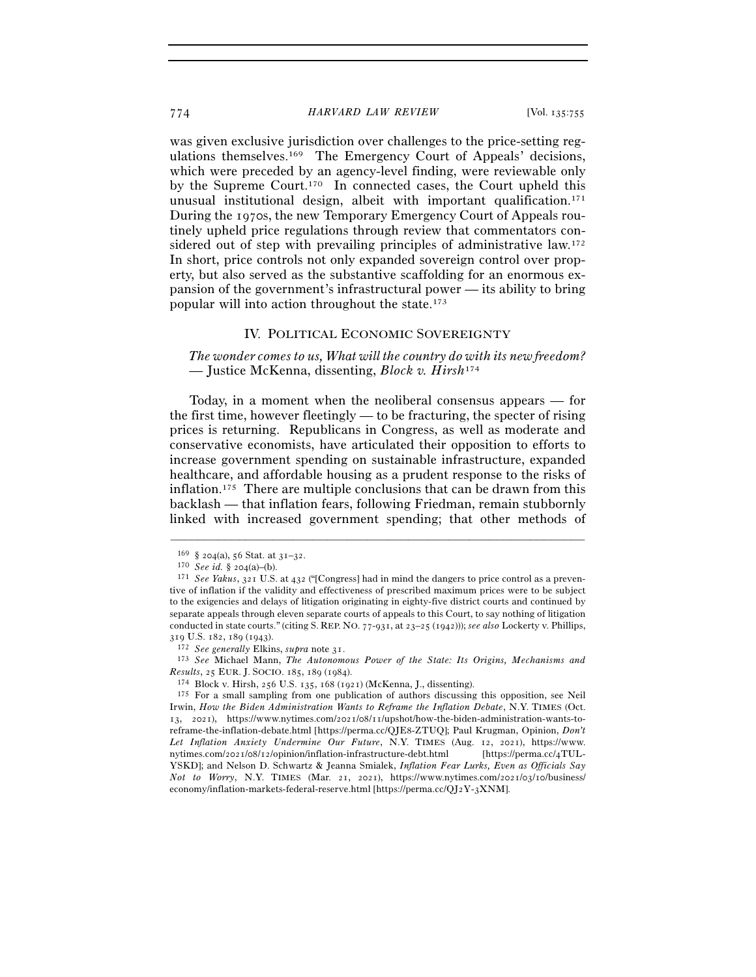was given exclusive jurisdiction over challenges to the price-setting regulations themselves.169 The Emergency Court of Appeals' decisions, which were preceded by an agency-level finding, were reviewable only by the Supreme Court.170 In connected cases, the Court upheld this unusual institutional design, albeit with important qualification.171 During the 1970s, the new Temporary Emergency Court of Appeals routinely upheld price regulations through review that commentators considered out of step with prevailing principles of administrative law.<sup>172</sup> In short, price controls not only expanded sovereign control over property, but also served as the substantive scaffolding for an enormous expansion of the government's infrastructural power — its ability to bring popular will into action throughout the state.173

## IV. POLITICAL ECONOMIC SOVEREIGNTY

*The wonder comes to us, What will the country do with its new freedom?*  — Justice McKenna, dissenting, *Block v. Hirsh*<sup>174</sup>

Today, in a moment when the neoliberal consensus appears — for the first time, however fleetingly — to be fracturing, the specter of rising prices is returning. Republicans in Congress, as well as moderate and conservative economists, have articulated their opposition to efforts to increase government spending on sustainable infrastructure, expanded healthcare, and affordable housing as a prudent response to the risks of inflation.175 There are multiple conclusions that can be drawn from this backlash — that inflation fears, following Friedman, remain stubbornly linked with increased government spending; that other methods of

–––––––––––––––––––––––––––––––––––––––––––––––––––––––––––––

<sup>319</sup> U.S. 182, 189 (<sup>1943</sup>). 172 *See generally* Elkins, *supra* note <sup>31</sup>. 173 *See* Michael Mann, *The Autonomous Power of the State: Its Origins, Mechanisms and* 

<sup>169 § 204(</sup>a), 56 Stat. at 31–32.<br><sup>170</sup> *See id.* § 204(a)–(b).<br><sup>171</sup> *See Yakus*, 321 U.S. at 432 ("[Congress] had in mind the dangers to price control as a preventive of inflation if the validity and effectiveness of prescribed maximum prices were to be subject to the exigencies and delays of litigation originating in eighty-five district courts and continued by separate appeals through eleven separate courts of appeals to this Court, to say nothing of litigation conducted in state courts." (citing S. REP. NO. 77-931, at 23–25 (1942))); *see also* Lockerty v. Phillips,

<sup>&</sup>lt;sup>174</sup> Block v. Hirsh, 256 U.S. 135, 168 (1921) (McKenna, J., dissenting). <sup>175</sup> For a small sampling from one publication of authors discussing this opposition, see Neil Irwin, *How the Biden Administration Wants to Reframe the Inflation Debate*, N.Y. TIMES (Oct. 13, 2021), https://www.nytimes.com/2021/08/11/upshot/how-the-biden-administration-wants-toreframe-the-inflation-debate.html [https://perma.cc/QJE8-ZTUQ]; Paul Krugman, Opinion, *Don't Let Inflation Anxiety Undermine Our Future*, N.Y. TIMES (Aug. 12, 2021), https://www. nytimes.com/2021/08/12/opinion/inflation-infrastructure-debt.html [https://perma.cc/4TUL-YSKD]; and Nelson D. Schwartz & Jeanna Smialek, *Inflation Fear Lurks, Even as Officials Say Not to Worry*, N.Y. TIMES (Mar. 21, 2021), https://www.nytimes.com/2021/03/10/business/ economy/inflation-markets-federal-reserve.html [https://perma.cc/QJ2Y-3XNM].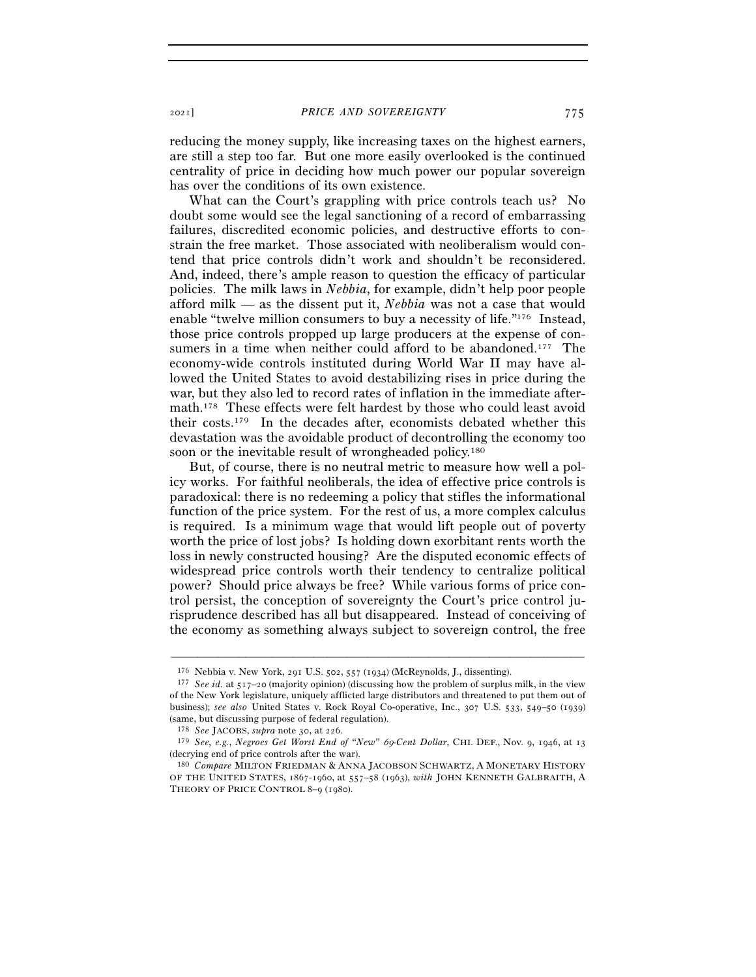reducing the money supply, like increasing taxes on the highest earners, are still a step too far. But one more easily overlooked is the continued centrality of price in deciding how much power our popular sovereign has over the conditions of its own existence.

What can the Court's grappling with price controls teach us? No doubt some would see the legal sanctioning of a record of embarrassing failures, discredited economic policies, and destructive efforts to constrain the free market. Those associated with neoliberalism would contend that price controls didn't work and shouldn't be reconsidered. And, indeed, there's ample reason to question the efficacy of particular policies. The milk laws in *Nebbia*, for example, didn't help poor people afford milk — as the dissent put it, *Nebbia* was not a case that would enable "twelve million consumers to buy a necessity of life."176 Instead, those price controls propped up large producers at the expense of consumers in a time when neither could afford to be abandoned.<sup>177</sup> The economy-wide controls instituted during World War II may have allowed the United States to avoid destabilizing rises in price during the war, but they also led to record rates of inflation in the immediate aftermath.178 These effects were felt hardest by those who could least avoid their costs.179 In the decades after, economists debated whether this devastation was the avoidable product of decontrolling the economy too soon or the inevitable result of wrongheaded policy.<sup>180</sup>

But, of course, there is no neutral metric to measure how well a policy works. For faithful neoliberals, the idea of effective price controls is paradoxical: there is no redeeming a policy that stifles the informational function of the price system. For the rest of us, a more complex calculus is required. Is a minimum wage that would lift people out of poverty worth the price of lost jobs? Is holding down exorbitant rents worth the loss in newly constructed housing? Are the disputed economic effects of widespread price controls worth their tendency to centralize political power? Should price always be free? While various forms of price control persist, the conception of sovereignty the Court's price control jurisprudence described has all but disappeared. Instead of conceiving of the economy as something always subject to sovereign control, the free

<sup>176</sup> Nebbia v. New York, 291 U.S. 502, 557 (<sup>1934</sup>) (McReynolds, J., dissenting). 177 *See id.* at 517–20 (majority opinion) (discussing how the problem of surplus milk, in the view of the New York legislature, uniquely afflicted large distributors and threatened to put them out of business); *see also* United States v. Rock Royal Co-operative, Inc., 307 U.S. 533, 549–50 (1939) (same, but discussing purpose of federal regulation).

<sup>178</sup> *See* JACOBS, *supra* note 30, at <sup>226</sup>. 179 *See, e.g.*, *Negroes Get Worst End of "New"* 69*-Cent Dollar*, CHI. DEF., Nov. 9, 1946, at <sup>13</sup> (decrying end of price controls after the war).

<sup>180</sup> *Compare* MILTON FRIEDMAN & ANNA JACOBSON SCHWARTZ, A MONETARY HISTORY OF THE UNITED STATES, 1867-1960, at 557–58 (1963), *with* JOHN KENNETH GALBRAITH, A THEORY OF PRICE CONTROL 8–9 (1980).